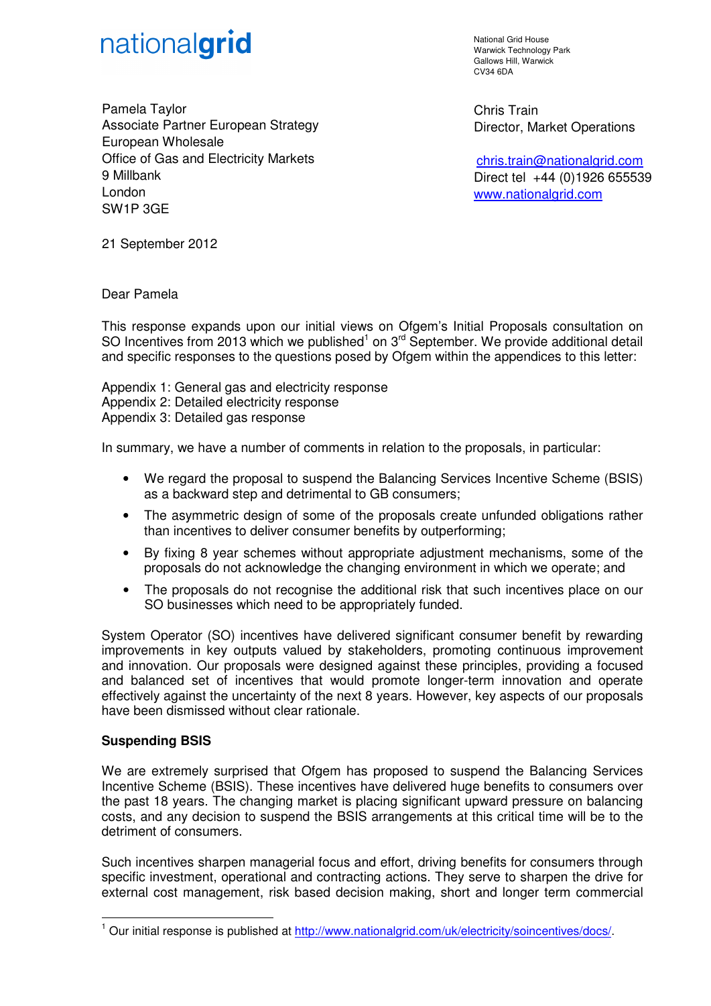

National Grid House Warwick Technology Park Gallows Hill, Warwick CV34 6DA

Chris Train Director, Market Operations

 chris.train@nationalgrid.com Direct tel +44 (0)1926 655539 www.nationalgrid.com

Pamela Taylor Associate Partner European Strategy European Wholesale Office of Gas and Electricity Markets 9 Millbank London SW1P 3GE

21 September 2012

Dear Pamela

This response expands upon our initial views on Ofgem's Initial Proposals consultation on SO Incentives from 2013 which we published<sup>1</sup> on 3<sup>rd</sup> September. We provide additional detail and specific responses to the questions posed by Ofgem within the appendices to this letter:

Appendix 1: General gas and electricity response Appendix 2: Detailed electricity response Appendix 3: Detailed gas response

In summary, we have a number of comments in relation to the proposals, in particular:

- We regard the proposal to suspend the Balancing Services Incentive Scheme (BSIS) as a backward step and detrimental to GB consumers;
- The asymmetric design of some of the proposals create unfunded obligations rather than incentives to deliver consumer benefits by outperforming;
- By fixing 8 year schemes without appropriate adjustment mechanisms, some of the proposals do not acknowledge the changing environment in which we operate; and
- The proposals do not recognise the additional risk that such incentives place on our SO businesses which need to be appropriately funded.

System Operator (SO) incentives have delivered significant consumer benefit by rewarding improvements in key outputs valued by stakeholders, promoting continuous improvement and innovation. Our proposals were designed against these principles, providing a focused and balanced set of incentives that would promote longer-term innovation and operate effectively against the uncertainty of the next 8 years. However, key aspects of our proposals have been dismissed without clear rationale.

# **Suspending BSIS**

 $\overline{a}$ 

We are extremely surprised that Ofgem has proposed to suspend the Balancing Services Incentive Scheme (BSIS). These incentives have delivered huge benefits to consumers over the past 18 years. The changing market is placing significant upward pressure on balancing costs, and any decision to suspend the BSIS arrangements at this critical time will be to the detriment of consumers.

Such incentives sharpen managerial focus and effort, driving benefits for consumers through specific investment, operational and contracting actions. They serve to sharpen the drive for external cost management, risk based decision making, short and longer term commercial

<sup>&</sup>lt;sup>1</sup> Our initial response is published at http://www.nationalgrid.com/uk/electricity/soincentives/docs/.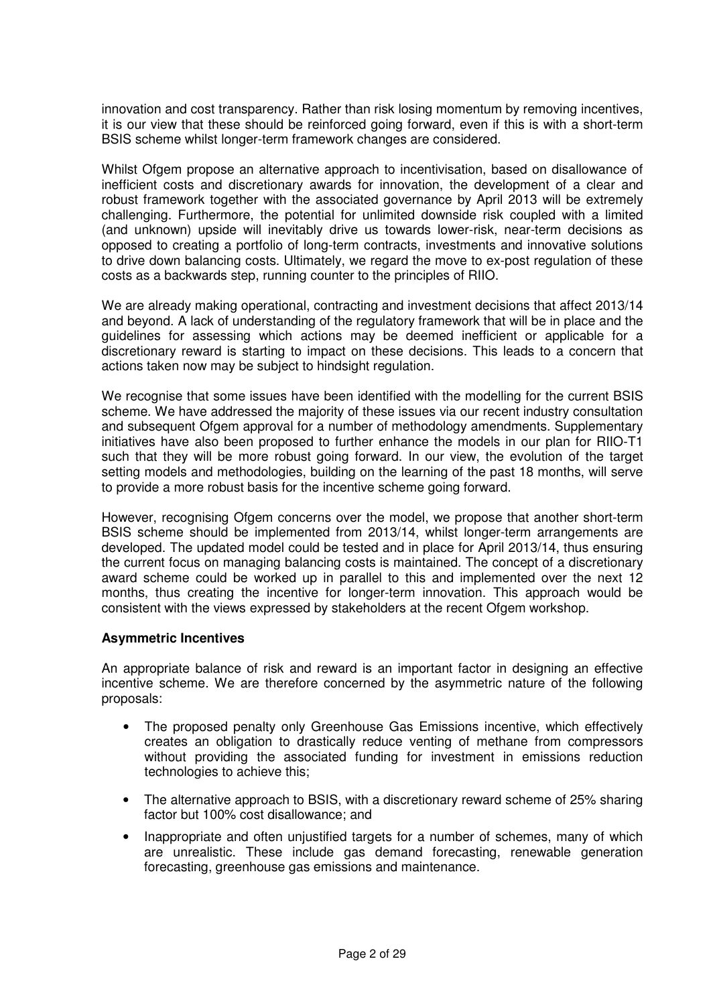innovation and cost transparency. Rather than risk losing momentum by removing incentives, it is our view that these should be reinforced going forward, even if this is with a short-term BSIS scheme whilst longer-term framework changes are considered.

Whilst Ofgem propose an alternative approach to incentivisation, based on disallowance of inefficient costs and discretionary awards for innovation, the development of a clear and robust framework together with the associated governance by April 2013 will be extremely challenging. Furthermore, the potential for unlimited downside risk coupled with a limited (and unknown) upside will inevitably drive us towards lower-risk, near-term decisions as opposed to creating a portfolio of long-term contracts, investments and innovative solutions to drive down balancing costs. Ultimately, we regard the move to ex-post regulation of these costs as a backwards step, running counter to the principles of RIIO.

We are already making operational, contracting and investment decisions that affect 2013/14 and beyond. A lack of understanding of the regulatory framework that will be in place and the guidelines for assessing which actions may be deemed inefficient or applicable for a discretionary reward is starting to impact on these decisions. This leads to a concern that actions taken now may be subject to hindsight regulation.

We recognise that some issues have been identified with the modelling for the current BSIS scheme. We have addressed the majority of these issues via our recent industry consultation and subsequent Ofgem approval for a number of methodology amendments. Supplementary initiatives have also been proposed to further enhance the models in our plan for RIIO-T1 such that they will be more robust going forward. In our view, the evolution of the target setting models and methodologies, building on the learning of the past 18 months, will serve to provide a more robust basis for the incentive scheme going forward.

However, recognising Ofgem concerns over the model, we propose that another short-term BSIS scheme should be implemented from 2013/14, whilst longer-term arrangements are developed. The updated model could be tested and in place for April 2013/14, thus ensuring the current focus on managing balancing costs is maintained. The concept of a discretionary award scheme could be worked up in parallel to this and implemented over the next 12 months, thus creating the incentive for longer-term innovation. This approach would be consistent with the views expressed by stakeholders at the recent Ofgem workshop.

# **Asymmetric Incentives**

An appropriate balance of risk and reward is an important factor in designing an effective incentive scheme. We are therefore concerned by the asymmetric nature of the following proposals:

- The proposed penalty only Greenhouse Gas Emissions incentive, which effectively creates an obligation to drastically reduce venting of methane from compressors without providing the associated funding for investment in emissions reduction technologies to achieve this;
- The alternative approach to BSIS, with a discretionary reward scheme of 25% sharing factor but 100% cost disallowance; and
- Inappropriate and often unjustified targets for a number of schemes, many of which are unrealistic. These include gas demand forecasting, renewable generation forecasting, greenhouse gas emissions and maintenance.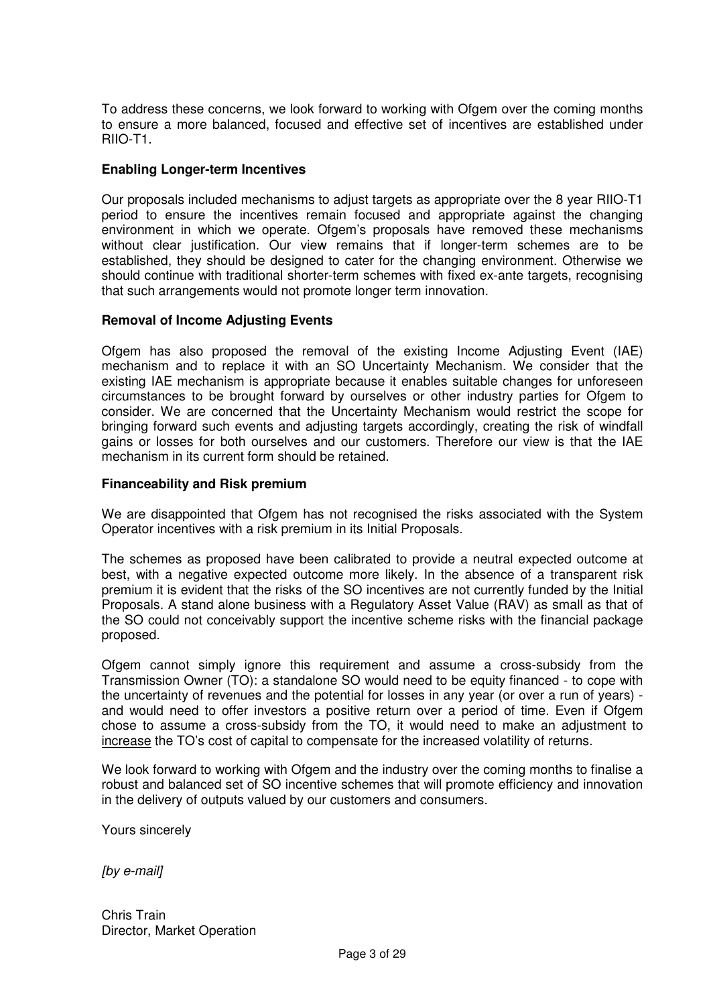To address these concerns, we look forward to working with Ofgem over the coming months to ensure a more balanced, focused and effective set of incentives are established under RIIO-T1.

## **Enabling Longer-term Incentives**

Our proposals included mechanisms to adjust targets as appropriate over the 8 year RIIO-T1 period to ensure the incentives remain focused and appropriate against the changing environment in which we operate. Ofgem's proposals have removed these mechanisms without clear justification. Our view remains that if longer-term schemes are to be established, they should be designed to cater for the changing environment. Otherwise we should continue with traditional shorter-term schemes with fixed ex-ante targets, recognising that such arrangements would not promote longer term innovation.

### **Removal of Income Adjusting Events**

Ofgem has also proposed the removal of the existing Income Adjusting Event (IAE) mechanism and to replace it with an SO Uncertainty Mechanism. We consider that the existing IAE mechanism is appropriate because it enables suitable changes for unforeseen circumstances to be brought forward by ourselves or other industry parties for Ofgem to consider. We are concerned that the Uncertainty Mechanism would restrict the scope for bringing forward such events and adjusting targets accordingly, creating the risk of windfall gains or losses for both ourselves and our customers. Therefore our view is that the IAE mechanism in its current form should be retained.

### **Financeability and Risk premium**

We are disappointed that Ofgem has not recognised the risks associated with the System Operator incentives with a risk premium in its Initial Proposals.

The schemes as proposed have been calibrated to provide a neutral expected outcome at best, with a negative expected outcome more likely. In the absence of a transparent risk premium it is evident that the risks of the SO incentives are not currently funded by the Initial Proposals. A stand alone business with a Regulatory Asset Value (RAV) as small as that of the SO could not conceivably support the incentive scheme risks with the financial package proposed.

Ofgem cannot simply ignore this requirement and assume a cross-subsidy from the Transmission Owner (TO): a standalone SO would need to be equity financed - to cope with the uncertainty of revenues and the potential for losses in any year (or over a run of years) and would need to offer investors a positive return over a period of time. Even if Ofgem chose to assume a cross-subsidy from the TO, it would need to make an adjustment to increase the TO's cost of capital to compensate for the increased volatility of returns.

We look forward to working with Ofgem and the industry over the coming months to finalise a robust and balanced set of SO incentive schemes that will promote efficiency and innovation in the delivery of outputs valued by our customers and consumers.

Yours sincerely

[by e-mail]

Chris Train Director, Market Operation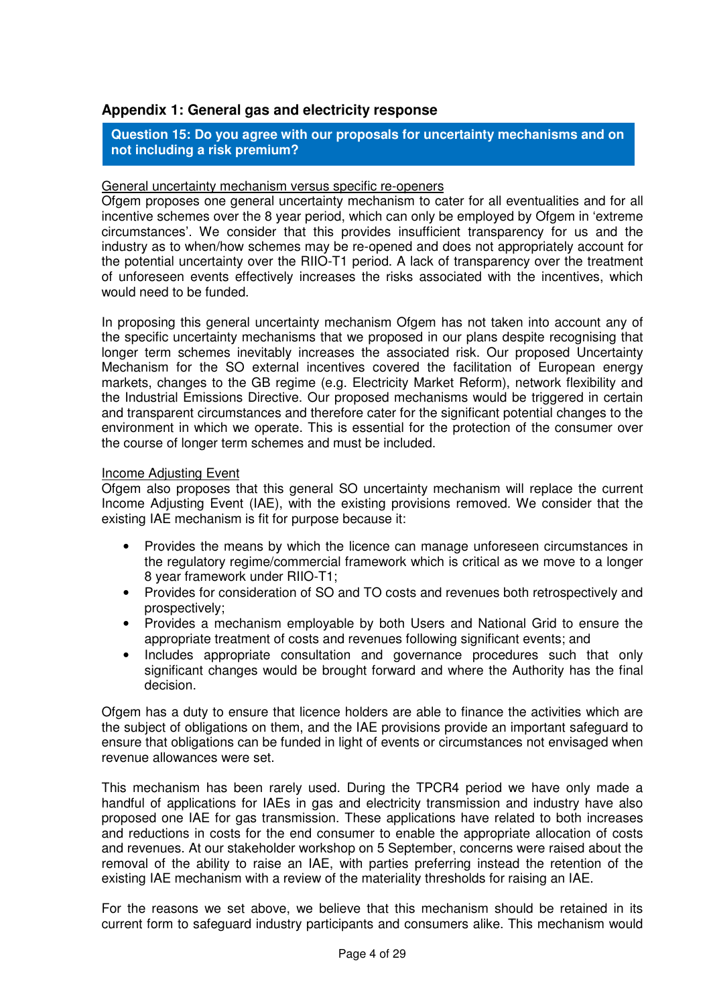# **Appendix 1: General gas and electricity response**

**Question 15: Do you agree with our proposals for uncertainty mechanisms and on not including a risk premium?**

#### General uncertainty mechanism versus specific re-openers

Ofgem proposes one general uncertainty mechanism to cater for all eventualities and for all incentive schemes over the 8 year period, which can only be employed by Ofgem in 'extreme circumstances'. We consider that this provides insufficient transparency for us and the industry as to when/how schemes may be re-opened and does not appropriately account for the potential uncertainty over the RIIO-T1 period. A lack of transparency over the treatment of unforeseen events effectively increases the risks associated with the incentives, which would need to be funded.

In proposing this general uncertainty mechanism Ofgem has not taken into account any of the specific uncertainty mechanisms that we proposed in our plans despite recognising that longer term schemes inevitably increases the associated risk. Our proposed Uncertainty Mechanism for the SO external incentives covered the facilitation of European energy markets, changes to the GB regime (e.g. Electricity Market Reform), network flexibility and the Industrial Emissions Directive. Our proposed mechanisms would be triggered in certain and transparent circumstances and therefore cater for the significant potential changes to the environment in which we operate. This is essential for the protection of the consumer over the course of longer term schemes and must be included.

### Income Adjusting Event

Ofgem also proposes that this general SO uncertainty mechanism will replace the current Income Adjusting Event (IAE), with the existing provisions removed. We consider that the existing IAE mechanism is fit for purpose because it:

- Provides the means by which the licence can manage unforeseen circumstances in the regulatory regime/commercial framework which is critical as we move to a longer 8 year framework under RIIO-T1;
- Provides for consideration of SO and TO costs and revenues both retrospectively and prospectively;
- Provides a mechanism employable by both Users and National Grid to ensure the appropriate treatment of costs and revenues following significant events; and
- Includes appropriate consultation and governance procedures such that only significant changes would be brought forward and where the Authority has the final decision.

Ofgem has a duty to ensure that licence holders are able to finance the activities which are the subject of obligations on them, and the IAE provisions provide an important safeguard to ensure that obligations can be funded in light of events or circumstances not envisaged when revenue allowances were set.

This mechanism has been rarely used. During the TPCR4 period we have only made a handful of applications for IAEs in gas and electricity transmission and industry have also proposed one IAE for gas transmission. These applications have related to both increases and reductions in costs for the end consumer to enable the appropriate allocation of costs and revenues. At our stakeholder workshop on 5 September, concerns were raised about the removal of the ability to raise an IAE, with parties preferring instead the retention of the existing IAE mechanism with a review of the materiality thresholds for raising an IAE.

For the reasons we set above, we believe that this mechanism should be retained in its current form to safeguard industry participants and consumers alike. This mechanism would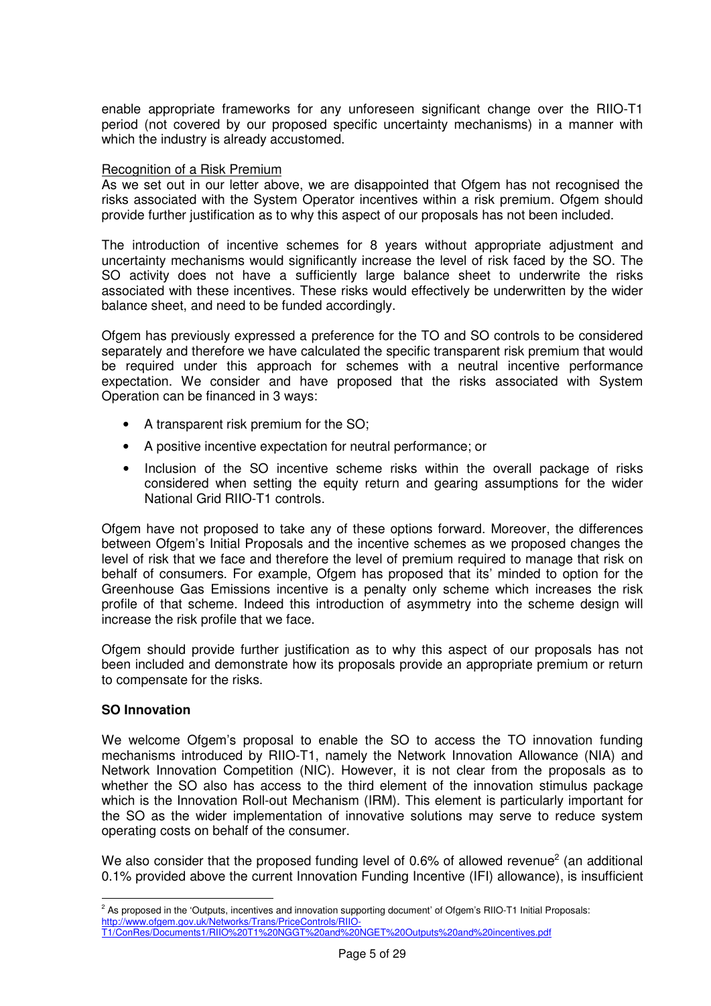enable appropriate frameworks for any unforeseen significant change over the RIIO-T1 period (not covered by our proposed specific uncertainty mechanisms) in a manner with which the industry is already accustomed.

### Recognition of a Risk Premium

As we set out in our letter above, we are disappointed that Ofgem has not recognised the risks associated with the System Operator incentives within a risk premium. Ofgem should provide further justification as to why this aspect of our proposals has not been included.

The introduction of incentive schemes for 8 years without appropriate adjustment and uncertainty mechanisms would significantly increase the level of risk faced by the SO. The SO activity does not have a sufficiently large balance sheet to underwrite the risks associated with these incentives. These risks would effectively be underwritten by the wider balance sheet, and need to be funded accordingly.

Ofgem has previously expressed a preference for the TO and SO controls to be considered separately and therefore we have calculated the specific transparent risk premium that would be required under this approach for schemes with a neutral incentive performance expectation. We consider and have proposed that the risks associated with System Operation can be financed in 3 ways:

- A transparent risk premium for the SO;
- A positive incentive expectation for neutral performance; or
- Inclusion of the SO incentive scheme risks within the overall package of risks considered when setting the equity return and gearing assumptions for the wider National Grid RIIO-T1 controls.

Ofgem have not proposed to take any of these options forward. Moreover, the differences between Ofgem's Initial Proposals and the incentive schemes as we proposed changes the level of risk that we face and therefore the level of premium required to manage that risk on behalf of consumers. For example, Ofgem has proposed that its' minded to option for the Greenhouse Gas Emissions incentive is a penalty only scheme which increases the risk profile of that scheme. Indeed this introduction of asymmetry into the scheme design will increase the risk profile that we face.

Ofgem should provide further justification as to why this aspect of our proposals has not been included and demonstrate how its proposals provide an appropriate premium or return to compensate for the risks.

# **SO Innovation**

 $\overline{a}$ 

We welcome Ofgem's proposal to enable the SO to access the TO innovation funding mechanisms introduced by RIIO-T1, namely the Network Innovation Allowance (NIA) and Network Innovation Competition (NIC). However, it is not clear from the proposals as to whether the SO also has access to the third element of the innovation stimulus package which is the Innovation Roll-out Mechanism (IRM). This element is particularly important for the SO as the wider implementation of innovative solutions may serve to reduce system operating costs on behalf of the consumer.

We also consider that the proposed funding level of 0.6% of allowed revenue<sup>2</sup> (an additional 0.1% provided above the current Innovation Funding Incentive (IFI) allowance), is insufficient

<sup>&</sup>lt;sup>2</sup> As proposed in the 'Outputs, incentives and innovation supporting document' of Ofgem's RIIO-T1 Initial Proposals: http://www.ofgem.gov.uk/Networks/Trans/PriceControls/RIIO-

T1/ConRes/Documents1/RIIO%20T1%20NGGT%20and%20NGET%20Outputs%20and%20incentives.pdf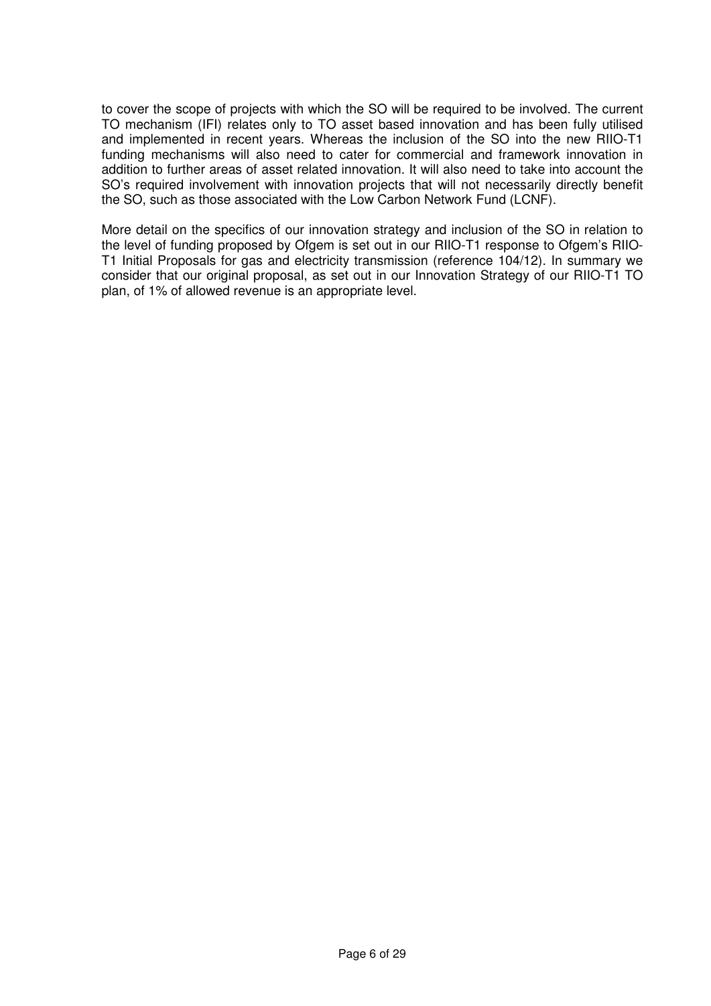to cover the scope of projects with which the SO will be required to be involved. The current TO mechanism (IFI) relates only to TO asset based innovation and has been fully utilised and implemented in recent years. Whereas the inclusion of the SO into the new RIIO-T1 funding mechanisms will also need to cater for commercial and framework innovation in addition to further areas of asset related innovation. It will also need to take into account the SO's required involvement with innovation projects that will not necessarily directly benefit the SO, such as those associated with the Low Carbon Network Fund (LCNF).

More detail on the specifics of our innovation strategy and inclusion of the SO in relation to the level of funding proposed by Ofgem is set out in our RIIO-T1 response to Ofgem's RIIO-T1 Initial Proposals for gas and electricity transmission (reference 104/12). In summary we consider that our original proposal, as set out in our Innovation Strategy of our RIIO-T1 TO plan, of 1% of allowed revenue is an appropriate level.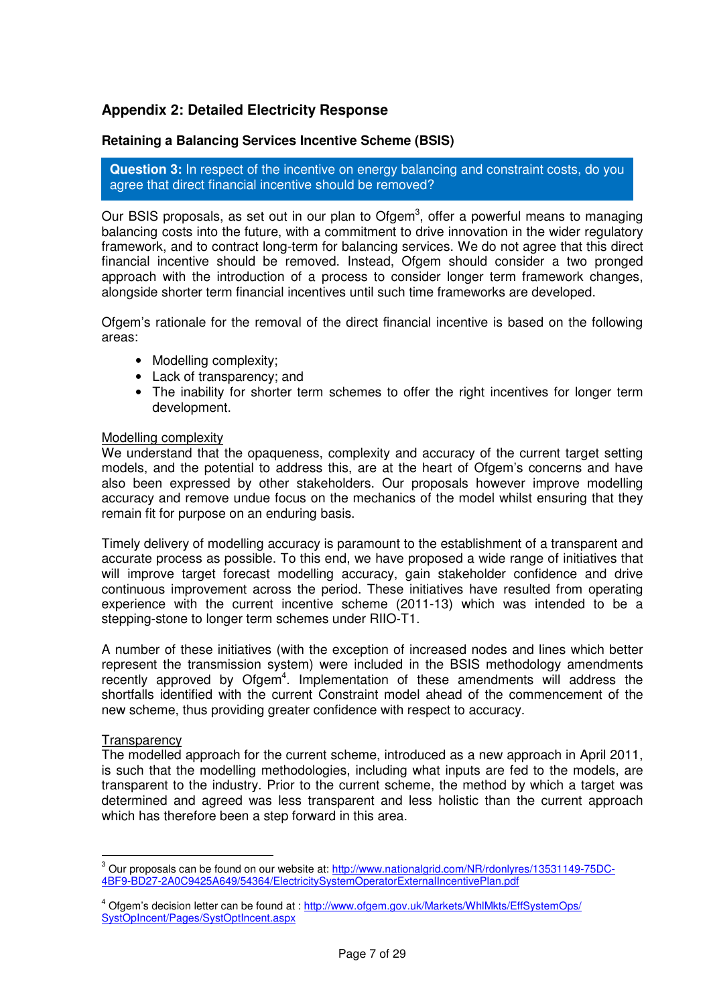# **Appendix 2: Detailed Electricity Response**

# **Retaining a Balancing Services Incentive Scheme (BSIS)**

**Question 3:** In respect of the incentive on energy balancing and constraint costs, do you agree that direct financial incentive should be removed?

Our BSIS proposals, as set out in our plan to Ofgem<sup>3</sup>, offer a powerful means to managing balancing costs into the future, with a commitment to drive innovation in the wider regulatory framework, and to contract long-term for balancing services. We do not agree that this direct financial incentive should be removed. Instead, Ofgem should consider a two pronged approach with the introduction of a process to consider longer term framework changes, alongside shorter term financial incentives until such time frameworks are developed.

Ofgem's rationale for the removal of the direct financial incentive is based on the following areas:

- Modelling complexity:
- Lack of transparency; and
- The inability for shorter term schemes to offer the right incentives for longer term development.

### Modelling complexity

We understand that the opaqueness, complexity and accuracy of the current target setting models, and the potential to address this, are at the heart of Ofgem's concerns and have also been expressed by other stakeholders. Our proposals however improve modelling accuracy and remove undue focus on the mechanics of the model whilst ensuring that they remain fit for purpose on an enduring basis.

Timely delivery of modelling accuracy is paramount to the establishment of a transparent and accurate process as possible. To this end, we have proposed a wide range of initiatives that will improve target forecast modelling accuracy, gain stakeholder confidence and drive continuous improvement across the period. These initiatives have resulted from operating experience with the current incentive scheme (2011-13) which was intended to be a stepping-stone to longer term schemes under RIIO-T1.

A number of these initiatives (with the exception of increased nodes and lines which better represent the transmission system) were included in the BSIS methodology amendments recently approved by Ofgem<sup>4</sup>. Implementation of these amendments will address the shortfalls identified with the current Constraint model ahead of the commencement of the new scheme, thus providing greater confidence with respect to accuracy.

#### **Transparency**

 $\overline{a}$ 

The modelled approach for the current scheme, introduced as a new approach in April 2011, is such that the modelling methodologies, including what inputs are fed to the models, are transparent to the industry. Prior to the current scheme, the method by which a target was determined and agreed was less transparent and less holistic than the current approach which has therefore been a step forward in this area.

<sup>&</sup>lt;sup>3</sup> Our proposals can be found on our website at: http://www.nationalgrid.com/NR/rdonlyres/13531149-75DC-4BF9-BD27-2A0C9425A649/54364/ElectricitySystemOperatorExternalIncentivePlan.pdf

<sup>&</sup>lt;sup>4</sup> Ofgem's decision letter can be found at : http://www.ofgem.gov.uk/Markets/WhlMkts/EffSystemOps/ SystOpIncent/Pages/SystOptIncent.aspx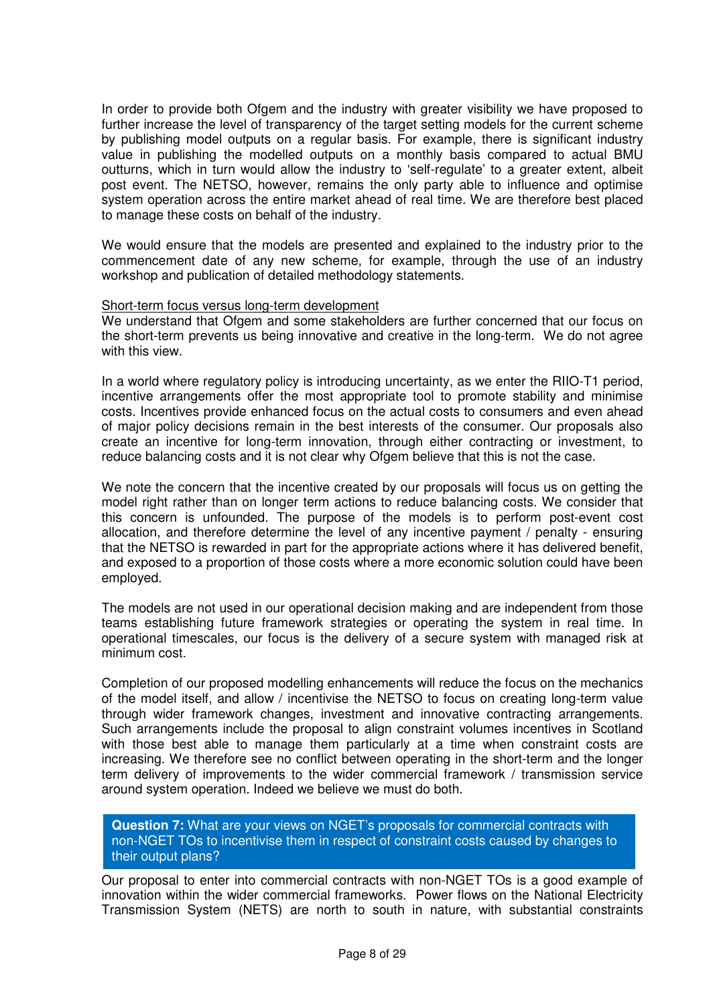In order to provide both Ofgem and the industry with greater visibility we have proposed to further increase the level of transparency of the target setting models for the current scheme by publishing model outputs on a regular basis. For example, there is significant industry value in publishing the modelled outputs on a monthly basis compared to actual BMU outturns, which in turn would allow the industry to 'self-regulate' to a greater extent, albeit post event. The NETSO, however, remains the only party able to influence and optimise system operation across the entire market ahead of real time. We are therefore best placed to manage these costs on behalf of the industry.

We would ensure that the models are presented and explained to the industry prior to the commencement date of any new scheme, for example, through the use of an industry workshop and publication of detailed methodology statements.

#### Short-term focus versus long-term development

We understand that Ofgem and some stakeholders are further concerned that our focus on the short-term prevents us being innovative and creative in the long-term. We do not agree with this view.

In a world where regulatory policy is introducing uncertainty, as we enter the RIIO-T1 period, incentive arrangements offer the most appropriate tool to promote stability and minimise costs. Incentives provide enhanced focus on the actual costs to consumers and even ahead of major policy decisions remain in the best interests of the consumer. Our proposals also create an incentive for long-term innovation, through either contracting or investment, to reduce balancing costs and it is not clear why Ofgem believe that this is not the case.

We note the concern that the incentive created by our proposals will focus us on getting the model right rather than on longer term actions to reduce balancing costs. We consider that this concern is unfounded. The purpose of the models is to perform post-event cost allocation, and therefore determine the level of any incentive payment / penalty - ensuring that the NETSO is rewarded in part for the appropriate actions where it has delivered benefit, and exposed to a proportion of those costs where a more economic solution could have been employed.

The models are not used in our operational decision making and are independent from those teams establishing future framework strategies or operating the system in real time. In operational timescales, our focus is the delivery of a secure system with managed risk at minimum cost.

Completion of our proposed modelling enhancements will reduce the focus on the mechanics of the model itself, and allow / incentivise the NETSO to focus on creating long-term value through wider framework changes, investment and innovative contracting arrangements. Such arrangements include the proposal to align constraint volumes incentives in Scotland with those best able to manage them particularly at a time when constraint costs are increasing. We therefore see no conflict between operating in the short-term and the longer term delivery of improvements to the wider commercial framework / transmission service around system operation. Indeed we believe we must do both.

**Question 7:** What are your views on NGET's proposals for commercial contracts with non-NGET TOs to incentivise them in respect of constraint costs caused by changes to their output plans?

Our proposal to enter into commercial contracts with non-NGET TOs is a good example of innovation within the wider commercial frameworks. Power flows on the National Electricity Transmission System (NETS) are north to south in nature, with substantial constraints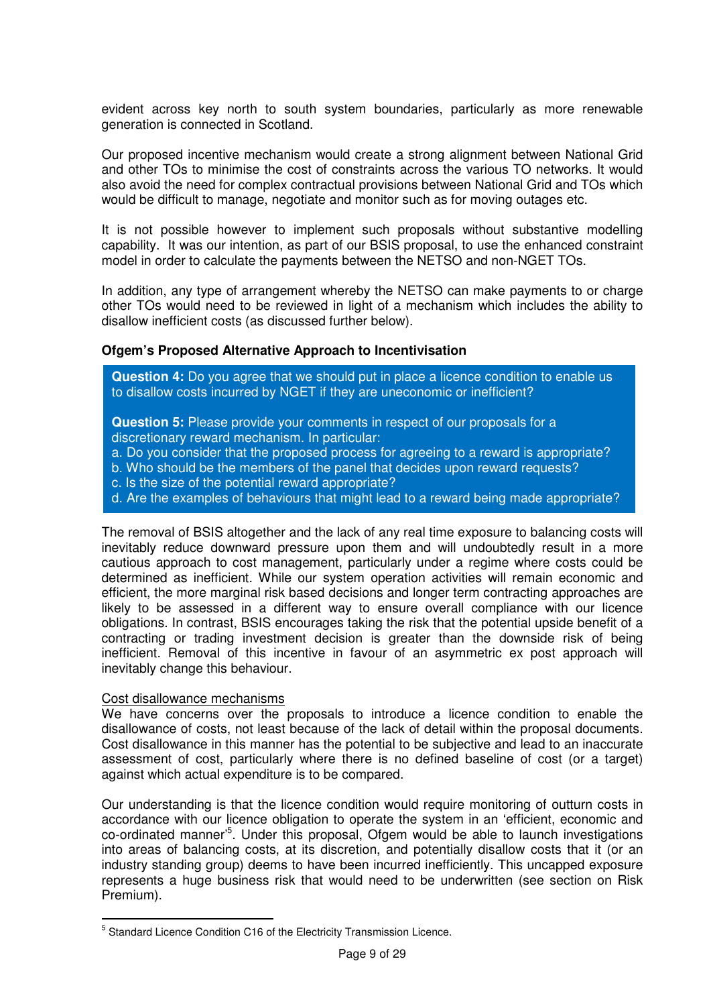evident across key north to south system boundaries, particularly as more renewable generation is connected in Scotland.

Our proposed incentive mechanism would create a strong alignment between National Grid and other TOs to minimise the cost of constraints across the various TO networks. It would also avoid the need for complex contractual provisions between National Grid and TOs which would be difficult to manage, negotiate and monitor such as for moving outages etc.

It is not possible however to implement such proposals without substantive modelling capability. It was our intention, as part of our BSIS proposal, to use the enhanced constraint model in order to calculate the payments between the NETSO and non-NGET TOs.

In addition, any type of arrangement whereby the NETSO can make payments to or charge other TOs would need to be reviewed in light of a mechanism which includes the ability to disallow inefficient costs (as discussed further below).

### **Ofgem's Proposed Alternative Approach to Incentivisation**

**Question 4:** Do you agree that we should put in place a licence condition to enable us to disallow costs incurred by NGET if they are uneconomic or inefficient?

**Question 5:** Please provide your comments in respect of our proposals for a discretionary reward mechanism. In particular:

- a. Do you consider that the proposed process for agreeing to a reward is appropriate?
- b. Who should be the members of the panel that decides upon reward requests?
- c. Is the size of the potential reward appropriate?
- d. Are the examples of behaviours that might lead to a reward being made appropriate?

The removal of BSIS altogether and the lack of any real time exposure to balancing costs will inevitably reduce downward pressure upon them and will undoubtedly result in a more cautious approach to cost management, particularly under a regime where costs could be determined as inefficient. While our system operation activities will remain economic and efficient, the more marginal risk based decisions and longer term contracting approaches are likely to be assessed in a different way to ensure overall compliance with our licence obligations. In contrast, BSIS encourages taking the risk that the potential upside benefit of a contracting or trading investment decision is greater than the downside risk of being inefficient. Removal of this incentive in favour of an asymmetric ex post approach will inevitably change this behaviour.

#### Cost disallowance mechanisms

 $\overline{a}$ 

We have concerns over the proposals to introduce a licence condition to enable the disallowance of costs, not least because of the lack of detail within the proposal documents. Cost disallowance in this manner has the potential to be subjective and lead to an inaccurate assessment of cost, particularly where there is no defined baseline of cost (or a target) against which actual expenditure is to be compared.

Our understanding is that the licence condition would require monitoring of outturn costs in accordance with our licence obligation to operate the system in an 'efficient, economic and co-ordinated manner'<sup>5</sup> . Under this proposal, Ofgem would be able to launch investigations into areas of balancing costs, at its discretion, and potentially disallow costs that it (or an industry standing group) deems to have been incurred inefficiently. This uncapped exposure represents a huge business risk that would need to be underwritten (see section on Risk Premium).

<sup>&</sup>lt;sup>5</sup> Standard Licence Condition C16 of the Electricity Transmission Licence.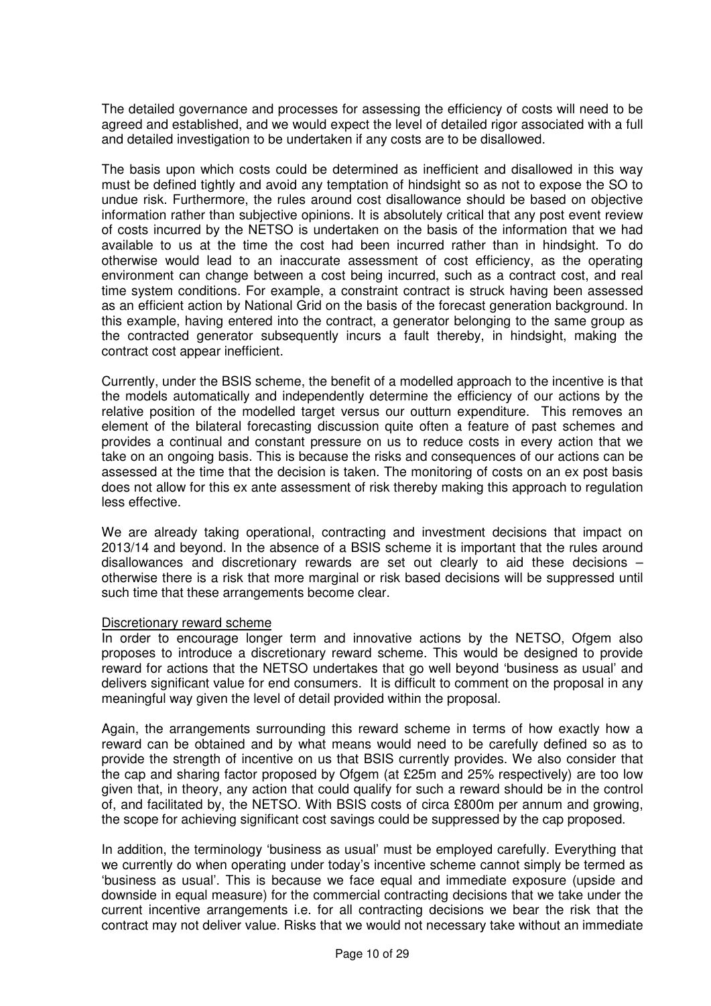The detailed governance and processes for assessing the efficiency of costs will need to be agreed and established, and we would expect the level of detailed rigor associated with a full and detailed investigation to be undertaken if any costs are to be disallowed.

The basis upon which costs could be determined as inefficient and disallowed in this way must be defined tightly and avoid any temptation of hindsight so as not to expose the SO to undue risk. Furthermore, the rules around cost disallowance should be based on objective information rather than subjective opinions. It is absolutely critical that any post event review of costs incurred by the NETSO is undertaken on the basis of the information that we had available to us at the time the cost had been incurred rather than in hindsight. To do otherwise would lead to an inaccurate assessment of cost efficiency, as the operating environment can change between a cost being incurred, such as a contract cost, and real time system conditions. For example, a constraint contract is struck having been assessed as an efficient action by National Grid on the basis of the forecast generation background. In this example, having entered into the contract, a generator belonging to the same group as the contracted generator subsequently incurs a fault thereby, in hindsight, making the contract cost appear inefficient.

Currently, under the BSIS scheme, the benefit of a modelled approach to the incentive is that the models automatically and independently determine the efficiency of our actions by the relative position of the modelled target versus our outturn expenditure. This removes an element of the bilateral forecasting discussion quite often a feature of past schemes and provides a continual and constant pressure on us to reduce costs in every action that we take on an ongoing basis. This is because the risks and consequences of our actions can be assessed at the time that the decision is taken. The monitoring of costs on an ex post basis does not allow for this ex ante assessment of risk thereby making this approach to regulation less effective.

We are already taking operational, contracting and investment decisions that impact on 2013/14 and beyond. In the absence of a BSIS scheme it is important that the rules around disallowances and discretionary rewards are set out clearly to aid these decisions – otherwise there is a risk that more marginal or risk based decisions will be suppressed until such time that these arrangements become clear.

#### Discretionary reward scheme

In order to encourage longer term and innovative actions by the NETSO, Ofgem also proposes to introduce a discretionary reward scheme. This would be designed to provide reward for actions that the NETSO undertakes that go well beyond 'business as usual' and delivers significant value for end consumers. It is difficult to comment on the proposal in any meaningful way given the level of detail provided within the proposal.

Again, the arrangements surrounding this reward scheme in terms of how exactly how a reward can be obtained and by what means would need to be carefully defined so as to provide the strength of incentive on us that BSIS currently provides. We also consider that the cap and sharing factor proposed by Ofgem (at £25m and 25% respectively) are too low given that, in theory, any action that could qualify for such a reward should be in the control of, and facilitated by, the NETSO. With BSIS costs of circa £800m per annum and growing, the scope for achieving significant cost savings could be suppressed by the cap proposed.

In addition, the terminology 'business as usual' must be employed carefully. Everything that we currently do when operating under today's incentive scheme cannot simply be termed as 'business as usual'. This is because we face equal and immediate exposure (upside and downside in equal measure) for the commercial contracting decisions that we take under the current incentive arrangements i.e. for all contracting decisions we bear the risk that the contract may not deliver value. Risks that we would not necessary take without an immediate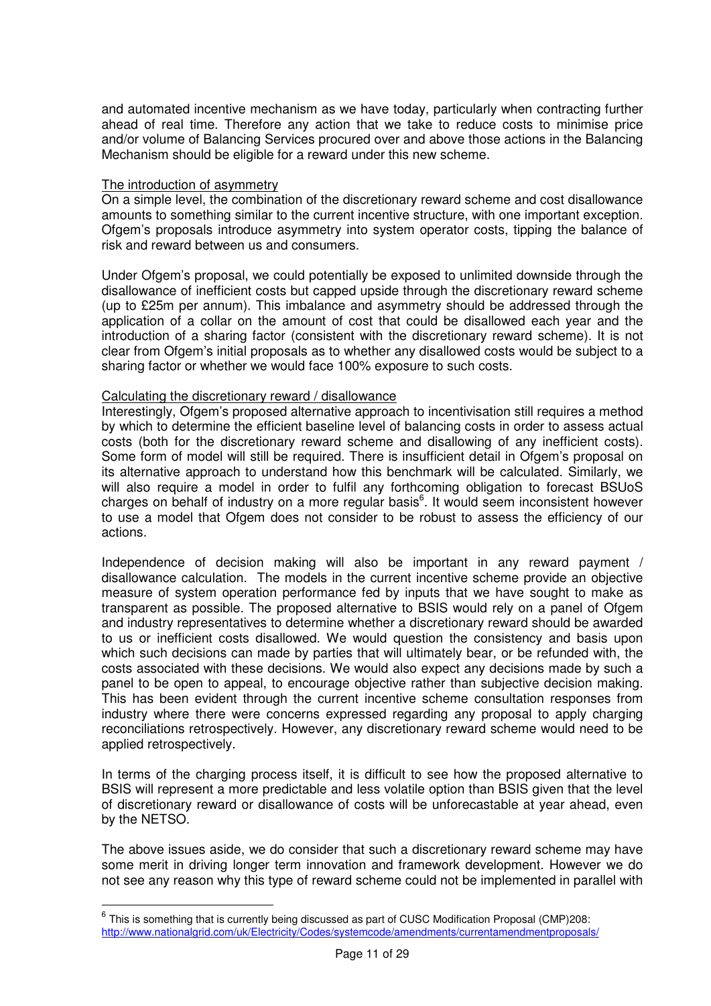and automated incentive mechanism as we have today, particularly when contracting further ahead of real time. Therefore any action that we take to reduce costs to minimise price and/or volume of Balancing Services procured over and above those actions in the Balancing Mechanism should be eligible for a reward under this new scheme.

### The introduction of asymmetry

 $\overline{a}$ 

On a simple level, the combination of the discretionary reward scheme and cost disallowance amounts to something similar to the current incentive structure, with one important exception. Ofgem's proposals introduce asymmetry into system operator costs, tipping the balance of risk and reward between us and consumers.

Under Ofgem's proposal, we could potentially be exposed to unlimited downside through the disallowance of inefficient costs but capped upside through the discretionary reward scheme (up to £25m per annum). This imbalance and asymmetry should be addressed through the application of a collar on the amount of cost that could be disallowed each year and the introduction of a sharing factor (consistent with the discretionary reward scheme). It is not clear from Ofgem's initial proposals as to whether any disallowed costs would be subject to a sharing factor or whether we would face 100% exposure to such costs.

### Calculating the discretionary reward / disallowance

Interestingly, Ofgem's proposed alternative approach to incentivisation still requires a method by which to determine the efficient baseline level of balancing costs in order to assess actual costs (both for the discretionary reward scheme and disallowing of any inefficient costs). Some form of model will still be required. There is insufficient detail in Ofgem's proposal on its alternative approach to understand how this benchmark will be calculated. Similarly, we will also require a model in order to fulfil any forthcoming obligation to forecast BSUoS charges on behalf of industry on a more regular basis<sup>6</sup>. It would seem inconsistent however to use a model that Ofgem does not consider to be robust to assess the efficiency of our actions.

Independence of decision making will also be important in any reward payment / disallowance calculation. The models in the current incentive scheme provide an objective measure of system operation performance fed by inputs that we have sought to make as transparent as possible. The proposed alternative to BSIS would rely on a panel of Ofgem and industry representatives to determine whether a discretionary reward should be awarded to us or inefficient costs disallowed. We would question the consistency and basis upon which such decisions can made by parties that will ultimately bear, or be refunded with, the costs associated with these decisions. We would also expect any decisions made by such a panel to be open to appeal, to encourage objective rather than subjective decision making. This has been evident through the current incentive scheme consultation responses from industry where there were concerns expressed regarding any proposal to apply charging reconciliations retrospectively. However, any discretionary reward scheme would need to be applied retrospectively.

In terms of the charging process itself, it is difficult to see how the proposed alternative to BSIS will represent a more predictable and less volatile option than BSIS given that the level of discretionary reward or disallowance of costs will be unforecastable at year ahead, even by the NETSO.

The above issues aside, we do consider that such a discretionary reward scheme may have some merit in driving longer term innovation and framework development. However we do not see any reason why this type of reward scheme could not be implemented in parallel with

 $^6$  This is something that is currently being discussed as part of CUSC Modification Proposal (CMP)208: http://www.nationalgrid.com/uk/Electricity/Codes/systemcode/amendments/currentamendmentproposals/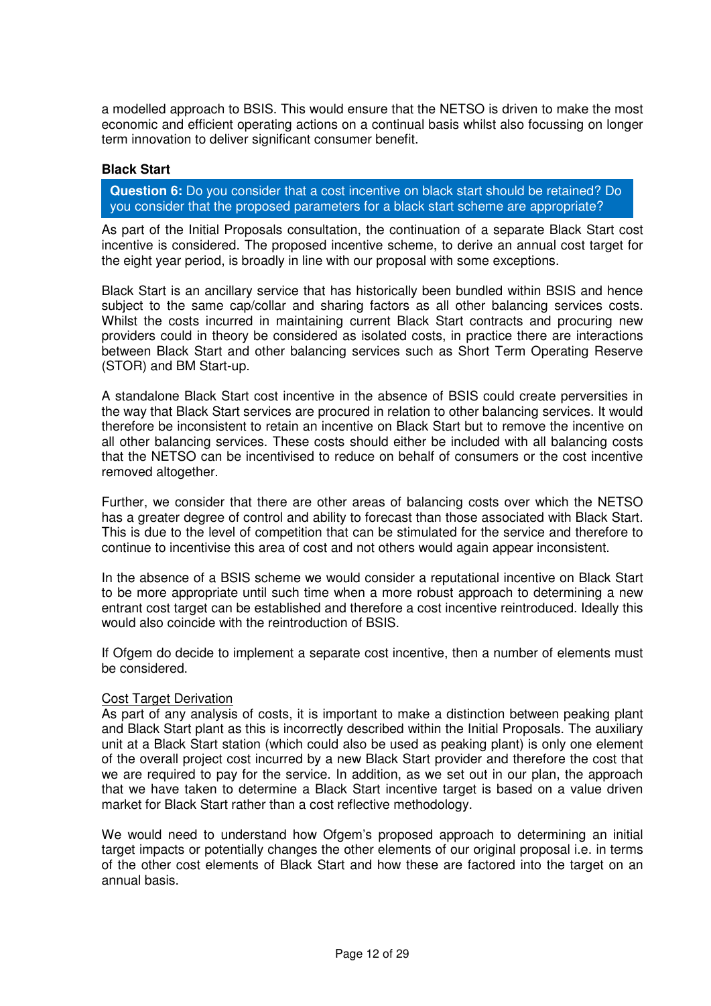a modelled approach to BSIS. This would ensure that the NETSO is driven to make the most economic and efficient operating actions on a continual basis whilst also focussing on longer term innovation to deliver significant consumer benefit.

### **Black Start**

**Question 6:** Do you consider that a cost incentive on black start should be retained? Do you consider that the proposed parameters for a black start scheme are appropriate?

As part of the Initial Proposals consultation, the continuation of a separate Black Start cost incentive is considered. The proposed incentive scheme, to derive an annual cost target for the eight year period, is broadly in line with our proposal with some exceptions.

Black Start is an ancillary service that has historically been bundled within BSIS and hence subject to the same cap/collar and sharing factors as all other balancing services costs. Whilst the costs incurred in maintaining current Black Start contracts and procuring new providers could in theory be considered as isolated costs, in practice there are interactions between Black Start and other balancing services such as Short Term Operating Reserve (STOR) and BM Start-up.

A standalone Black Start cost incentive in the absence of BSIS could create perversities in the way that Black Start services are procured in relation to other balancing services. It would therefore be inconsistent to retain an incentive on Black Start but to remove the incentive on all other balancing services. These costs should either be included with all balancing costs that the NETSO can be incentivised to reduce on behalf of consumers or the cost incentive removed altogether.

Further, we consider that there are other areas of balancing costs over which the NETSO has a greater degree of control and ability to forecast than those associated with Black Start. This is due to the level of competition that can be stimulated for the service and therefore to continue to incentivise this area of cost and not others would again appear inconsistent.

In the absence of a BSIS scheme we would consider a reputational incentive on Black Start to be more appropriate until such time when a more robust approach to determining a new entrant cost target can be established and therefore a cost incentive reintroduced. Ideally this would also coincide with the reintroduction of BSIS.

If Ofgem do decide to implement a separate cost incentive, then a number of elements must be considered.

#### Cost Target Derivation

As part of any analysis of costs, it is important to make a distinction between peaking plant and Black Start plant as this is incorrectly described within the Initial Proposals. The auxiliary unit at a Black Start station (which could also be used as peaking plant) is only one element of the overall project cost incurred by a new Black Start provider and therefore the cost that we are required to pay for the service. In addition, as we set out in our plan, the approach that we have taken to determine a Black Start incentive target is based on a value driven market for Black Start rather than a cost reflective methodology.

We would need to understand how Ofgem's proposed approach to determining an initial target impacts or potentially changes the other elements of our original proposal i.e. in terms of the other cost elements of Black Start and how these are factored into the target on an annual basis.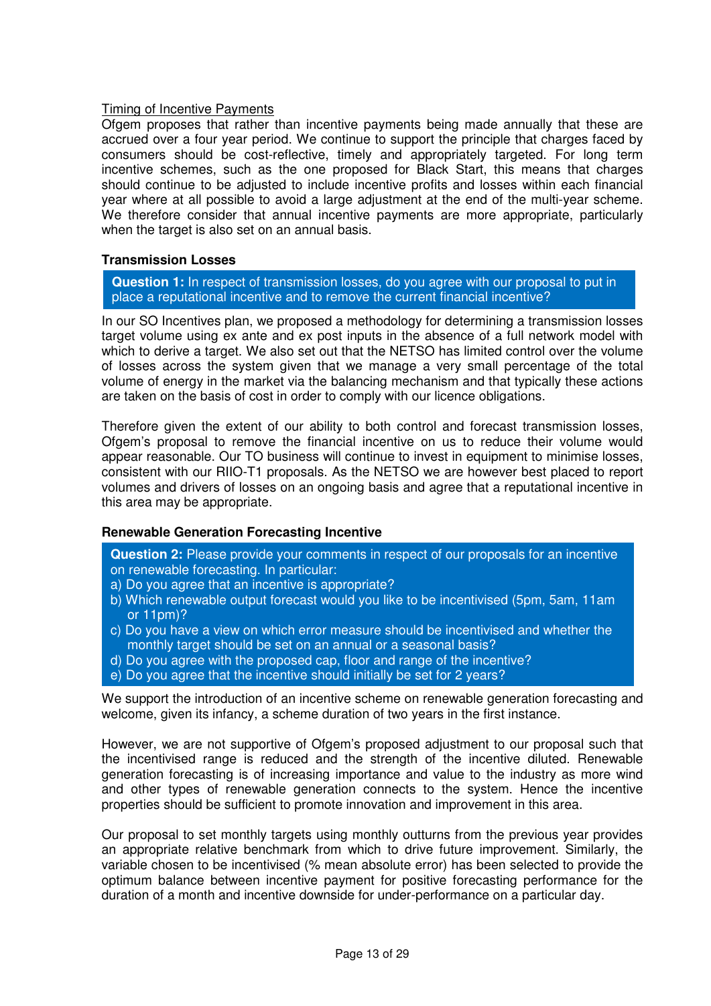# Timing of Incentive Payments

Ofgem proposes that rather than incentive payments being made annually that these are accrued over a four year period. We continue to support the principle that charges faced by consumers should be cost-reflective, timely and appropriately targeted. For long term incentive schemes, such as the one proposed for Black Start, this means that charges should continue to be adjusted to include incentive profits and losses within each financial year where at all possible to avoid a large adjustment at the end of the multi-year scheme. We therefore consider that annual incentive payments are more appropriate, particularly when the target is also set on an annual basis.

# **Transmission Losses**

**Question 1:** In respect of transmission losses, do you agree with our proposal to put in place a reputational incentive and to remove the current financial incentive?

In our SO Incentives plan, we proposed a methodology for determining a transmission losses target volume using ex ante and ex post inputs in the absence of a full network model with which to derive a target. We also set out that the NETSO has limited control over the volume of losses across the system given that we manage a very small percentage of the total volume of energy in the market via the balancing mechanism and that typically these actions are taken on the basis of cost in order to comply with our licence obligations.

Therefore given the extent of our ability to both control and forecast transmission losses, Ofgem's proposal to remove the financial incentive on us to reduce their volume would appear reasonable. Our TO business will continue to invest in equipment to minimise losses, consistent with our RIIO-T1 proposals. As the NETSO we are however best placed to report volumes and drivers of losses on an ongoing basis and agree that a reputational incentive in this area may be appropriate.

# **Renewable Generation Forecasting Incentive**

**Question 2:** Please provide your comments in respect of our proposals for an incentive on renewable forecasting. In particular:

- a) Do you agree that an incentive is appropriate?
- b) Which renewable output forecast would you like to be incentivised (5pm, 5am, 11am or 11pm)?
- c) Do you have a view on which error measure should be incentivised and whether the monthly target should be set on an annual or a seasonal basis?
- d) Do you agree with the proposed cap, floor and range of the incentive?
- e) Do you agree that the incentive should initially be set for 2 years?

We support the introduction of an incentive scheme on renewable generation forecasting and welcome, given its infancy, a scheme duration of two years in the first instance.

However, we are not supportive of Ofgem's proposed adjustment to our proposal such that the incentivised range is reduced and the strength of the incentive diluted. Renewable generation forecasting is of increasing importance and value to the industry as more wind and other types of renewable generation connects to the system. Hence the incentive properties should be sufficient to promote innovation and improvement in this area.

Our proposal to set monthly targets using monthly outturns from the previous year provides an appropriate relative benchmark from which to drive future improvement. Similarly, the variable chosen to be incentivised (% mean absolute error) has been selected to provide the optimum balance between incentive payment for positive forecasting performance for the duration of a month and incentive downside for under-performance on a particular day.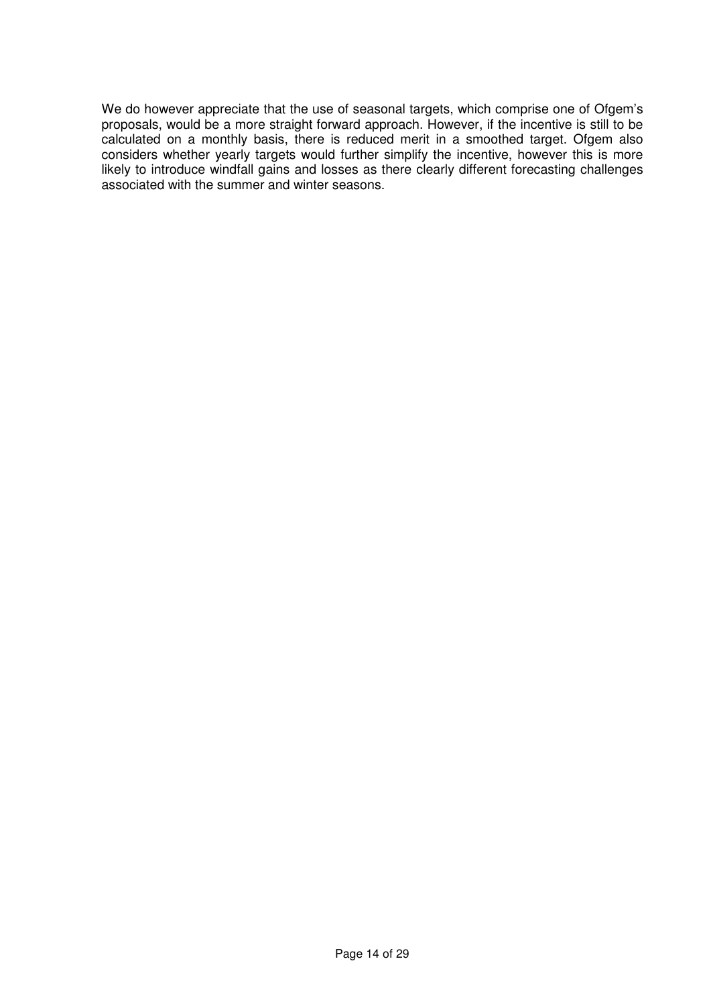We do however appreciate that the use of seasonal targets, which comprise one of Ofgem's proposals, would be a more straight forward approach. However, if the incentive is still to be calculated on a monthly basis, there is reduced merit in a smoothed target. Ofgem also considers whether yearly targets would further simplify the incentive, however this is more likely to introduce windfall gains and losses as there clearly different forecasting challenges associated with the summer and winter seasons.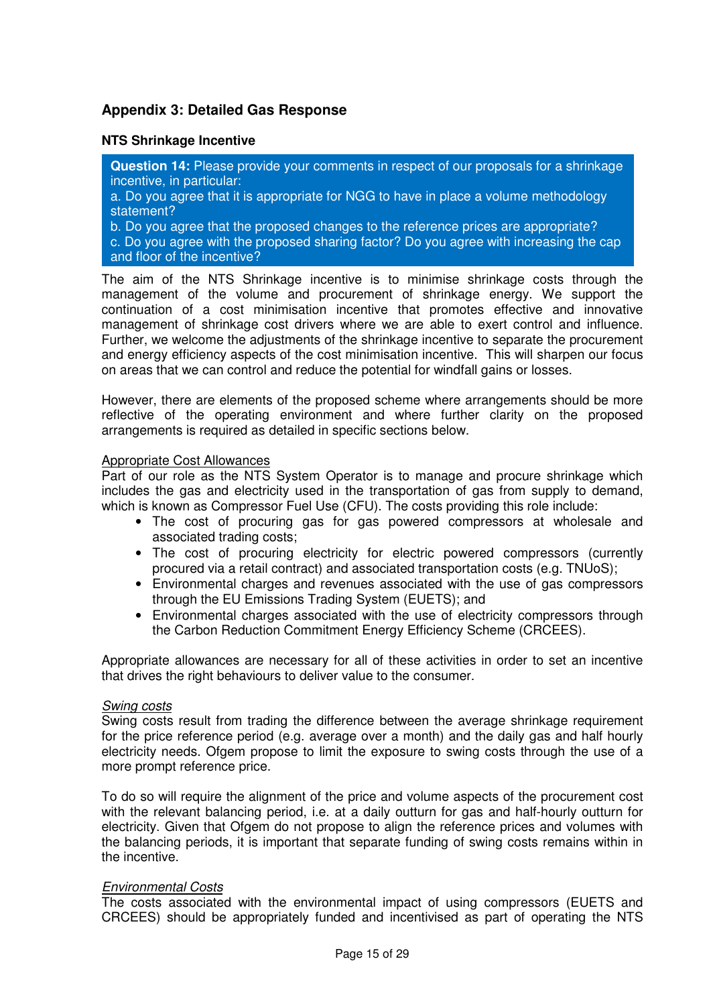# **Appendix 3: Detailed Gas Response**

# **NTS Shrinkage Incentive**

**Question 14:** Please provide your comments in respect of our proposals for a shrinkage incentive, in particular:

a. Do you agree that it is appropriate for NGG to have in place a volume methodology statement?

b. Do you agree that the proposed changes to the reference prices are appropriate?

c. Do you agree with the proposed sharing factor? Do you agree with increasing the cap and floor of the incentive?

The aim of the NTS Shrinkage incentive is to minimise shrinkage costs through the management of the volume and procurement of shrinkage energy. We support the continuation of a cost minimisation incentive that promotes effective and innovative management of shrinkage cost drivers where we are able to exert control and influence. Further, we welcome the adjustments of the shrinkage incentive to separate the procurement and energy efficiency aspects of the cost minimisation incentive. This will sharpen our focus on areas that we can control and reduce the potential for windfall gains or losses.

However, there are elements of the proposed scheme where arrangements should be more reflective of the operating environment and where further clarity on the proposed arrangements is required as detailed in specific sections below.

#### Appropriate Cost Allowances

Part of our role as the NTS System Operator is to manage and procure shrinkage which includes the gas and electricity used in the transportation of gas from supply to demand, which is known as Compressor Fuel Use (CFU). The costs providing this role include:

- The cost of procuring gas for gas powered compressors at wholesale and associated trading costs;
- The cost of procuring electricity for electric powered compressors (currently procured via a retail contract) and associated transportation costs (e.g. TNUoS);
- Environmental charges and revenues associated with the use of gas compressors through the EU Emissions Trading System (EUETS); and
- Environmental charges associated with the use of electricity compressors through the Carbon Reduction Commitment Energy Efficiency Scheme (CRCEES).

Appropriate allowances are necessary for all of these activities in order to set an incentive that drives the right behaviours to deliver value to the consumer.

#### Swing costs

Swing costs result from trading the difference between the average shrinkage requirement for the price reference period (e.g. average over a month) and the daily gas and half hourly electricity needs. Ofgem propose to limit the exposure to swing costs through the use of a more prompt reference price.

To do so will require the alignment of the price and volume aspects of the procurement cost with the relevant balancing period, i.e. at a daily outturn for gas and half-hourly outturn for electricity. Given that Ofgem do not propose to align the reference prices and volumes with the balancing periods, it is important that separate funding of swing costs remains within in the incentive.

#### Environmental Costs

The costs associated with the environmental impact of using compressors (EUETS and CRCEES) should be appropriately funded and incentivised as part of operating the NTS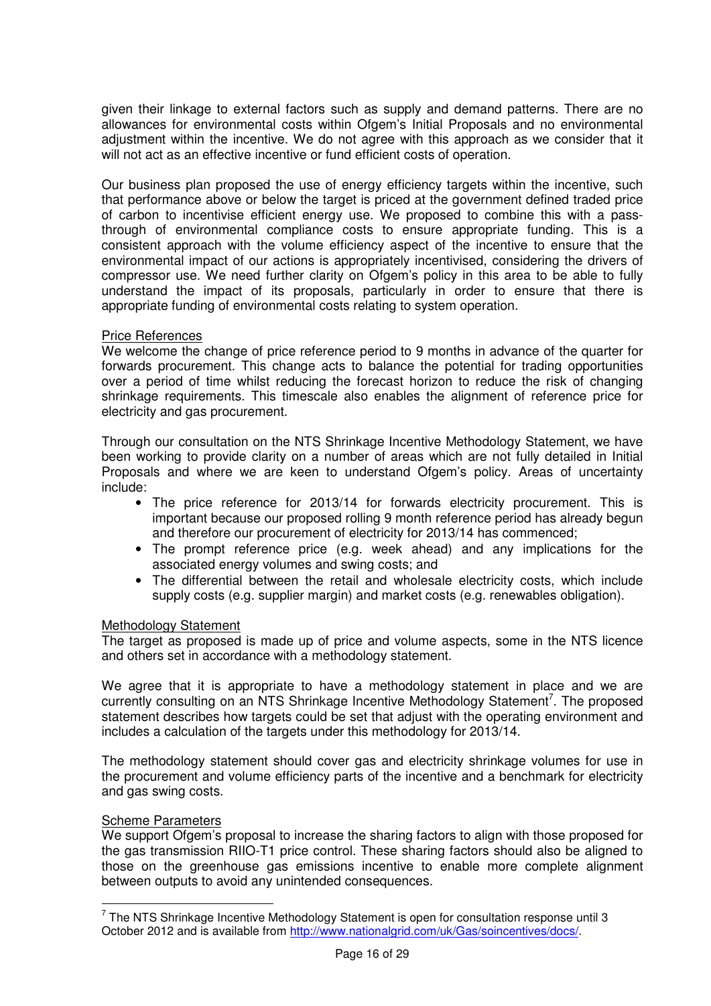given their linkage to external factors such as supply and demand patterns. There are no allowances for environmental costs within Ofgem's Initial Proposals and no environmental adjustment within the incentive. We do not agree with this approach as we consider that it will not act as an effective incentive or fund efficient costs of operation.

Our business plan proposed the use of energy efficiency targets within the incentive, such that performance above or below the target is priced at the government defined traded price of carbon to incentivise efficient energy use. We proposed to combine this with a passthrough of environmental compliance costs to ensure appropriate funding. This is a consistent approach with the volume efficiency aspect of the incentive to ensure that the environmental impact of our actions is appropriately incentivised, considering the drivers of compressor use. We need further clarity on Ofgem's policy in this area to be able to fully understand the impact of its proposals, particularly in order to ensure that there is appropriate funding of environmental costs relating to system operation.

### Price References

We welcome the change of price reference period to 9 months in advance of the quarter for forwards procurement. This change acts to balance the potential for trading opportunities over a period of time whilst reducing the forecast horizon to reduce the risk of changing shrinkage requirements. This timescale also enables the alignment of reference price for electricity and gas procurement.

Through our consultation on the NTS Shrinkage Incentive Methodology Statement, we have been working to provide clarity on a number of areas which are not fully detailed in Initial Proposals and where we are keen to understand Ofgem's policy. Areas of uncertainty include:

- The price reference for 2013/14 for forwards electricity procurement. This is important because our proposed rolling 9 month reference period has already begun and therefore our procurement of electricity for 2013/14 has commenced;
- The prompt reference price (e.g. week ahead) and any implications for the associated energy volumes and swing costs; and
- The differential between the retail and wholesale electricity costs, which include supply costs (e.g. supplier margin) and market costs (e.g. renewables obligation).

#### Methodology Statement

The target as proposed is made up of price and volume aspects, some in the NTS licence and others set in accordance with a methodology statement.

We agree that it is appropriate to have a methodology statement in place and we are currently consulting on an NTS Shrinkage Incentive Methodology Statement<sup>7</sup>. The proposed statement describes how targets could be set that adjust with the operating environment and includes a calculation of the targets under this methodology for 2013/14.

The methodology statement should cover gas and electricity shrinkage volumes for use in the procurement and volume efficiency parts of the incentive and a benchmark for electricity and gas swing costs.

#### Scheme Parameters

 $\overline{a}$ 

We support Ofgem's proposal to increase the sharing factors to align with those proposed for the gas transmission RIIO-T1 price control. These sharing factors should also be aligned to those on the greenhouse gas emissions incentive to enable more complete alignment between outputs to avoid any unintended consequences.

 $7$  The NTS Shrinkage Incentive Methodology Statement is open for consultation response until 3 October 2012 and is available from http://www.nationalgrid.com/uk/Gas/soincentives/docs/.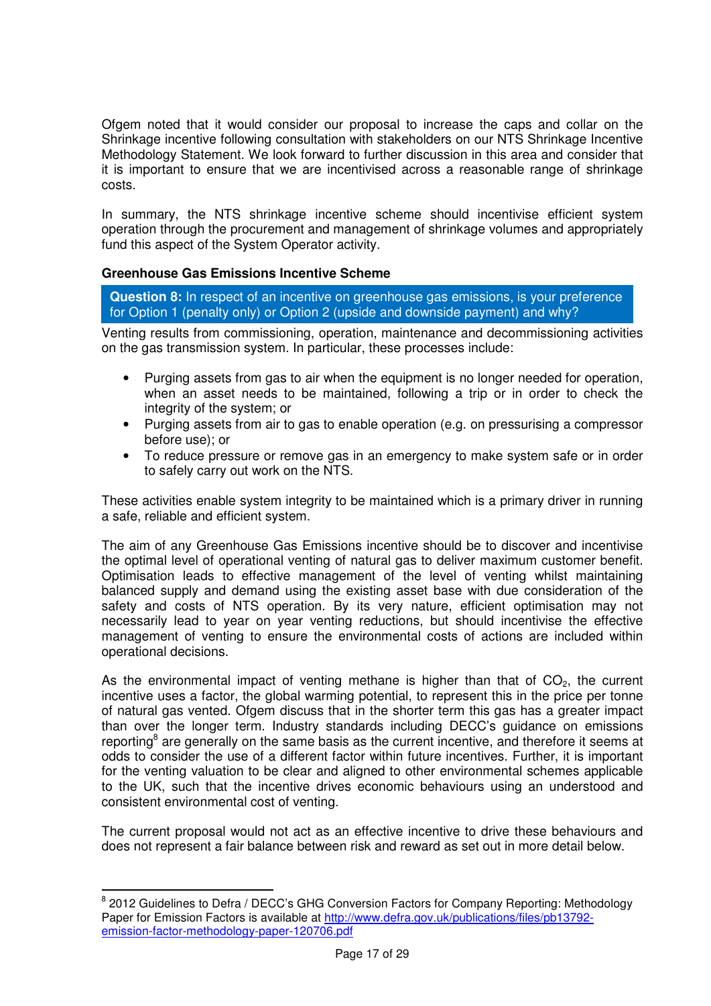Ofgem noted that it would consider our proposal to increase the caps and collar on the Shrinkage incentive following consultation with stakeholders on our NTS Shrinkage Incentive Methodology Statement. We look forward to further discussion in this area and consider that it is important to ensure that we are incentivised across a reasonable range of shrinkage costs.

In summary, the NTS shrinkage incentive scheme should incentivise efficient system operation through the procurement and management of shrinkage volumes and appropriately fund this aspect of the System Operator activity.

# **Greenhouse Gas Emissions Incentive Scheme**

 $\overline{a}$ 

**Question 8:** In respect of an incentive on greenhouse gas emissions, is your preference for Option 1 (penalty only) or Option 2 (upside and downside payment) and why?

Venting results from commissioning, operation, maintenance and decommissioning activities on the gas transmission system. In particular, these processes include:

- Purging assets from gas to air when the equipment is no longer needed for operation, when an asset needs to be maintained, following a trip or in order to check the integrity of the system; or
- Purging assets from air to gas to enable operation (e.g. on pressurising a compressor before use); or
- To reduce pressure or remove gas in an emergency to make system safe or in order to safely carry out work on the NTS.

These activities enable system integrity to be maintained which is a primary driver in running a safe, reliable and efficient system.

The aim of any Greenhouse Gas Emissions incentive should be to discover and incentivise the optimal level of operational venting of natural gas to deliver maximum customer benefit. Optimisation leads to effective management of the level of venting whilst maintaining balanced supply and demand using the existing asset base with due consideration of the safety and costs of NTS operation. By its very nature, efficient optimisation may not necessarily lead to year on year venting reductions, but should incentivise the effective management of venting to ensure the environmental costs of actions are included within operational decisions.

As the environmental impact of venting methane is higher than that of  $CO<sub>2</sub>$ , the current incentive uses a factor, the global warming potential, to represent this in the price per tonne of natural gas vented. Ofgem discuss that in the shorter term this gas has a greater impact than over the longer term. Industry standards including DECC's guidance on emissions reporting<sup>8</sup> are generally on the same basis as the current incentive, and therefore it seems at odds to consider the use of a different factor within future incentives. Further, it is important for the venting valuation to be clear and aligned to other environmental schemes applicable to the UK, such that the incentive drives economic behaviours using an understood and consistent environmental cost of venting.

The current proposal would not act as an effective incentive to drive these behaviours and does not represent a fair balance between risk and reward as set out in more detail below.

<sup>&</sup>lt;sup>8</sup> 2012 Guidelines to Defra / DECC's GHG Conversion Factors for Company Reporting: Methodology Paper for Emission Factors is available at http://www.defra.gov.uk/publications/files/pb13792 emission-factor-methodology-paper-120706.pdf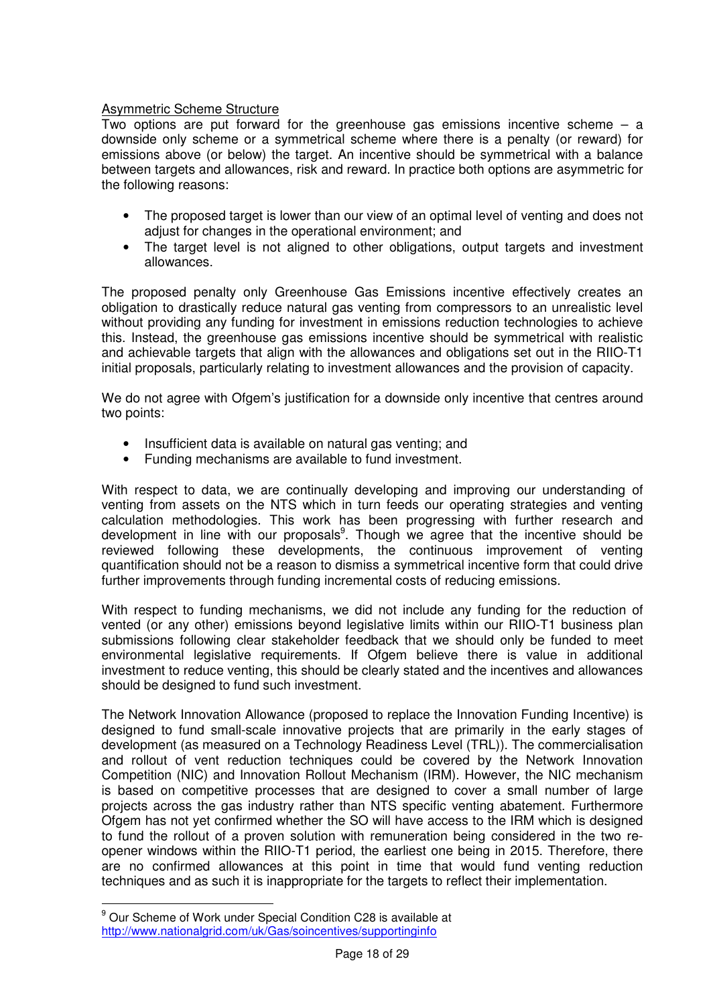# Asymmetric Scheme Structure

Two options are put forward for the greenhouse gas emissions incentive scheme – a downside only scheme or a symmetrical scheme where there is a penalty (or reward) for emissions above (or below) the target. An incentive should be symmetrical with a balance between targets and allowances, risk and reward. In practice both options are asymmetric for the following reasons:

- The proposed target is lower than our view of an optimal level of venting and does not adjust for changes in the operational environment; and
- The target level is not aligned to other obligations, output targets and investment allowances.

The proposed penalty only Greenhouse Gas Emissions incentive effectively creates an obligation to drastically reduce natural gas venting from compressors to an unrealistic level without providing any funding for investment in emissions reduction technologies to achieve this. Instead, the greenhouse gas emissions incentive should be symmetrical with realistic and achievable targets that align with the allowances and obligations set out in the RIIO-T1 initial proposals, particularly relating to investment allowances and the provision of capacity.

We do not agree with Ofgem's justification for a downside only incentive that centres around two points:

- Insufficient data is available on natural gas venting: and
- Funding mechanisms are available to fund investment.

With respect to data, we are continually developing and improving our understanding of venting from assets on the NTS which in turn feeds our operating strategies and venting calculation methodologies. This work has been progressing with further research and development in line with our proposals<sup>9</sup>. Though we agree that the incentive should be reviewed following these developments, the continuous improvement of venting quantification should not be a reason to dismiss a symmetrical incentive form that could drive further improvements through funding incremental costs of reducing emissions.

With respect to funding mechanisms, we did not include any funding for the reduction of vented (or any other) emissions beyond legislative limits within our RIIO-T1 business plan submissions following clear stakeholder feedback that we should only be funded to meet environmental legislative requirements. If Ofgem believe there is value in additional investment to reduce venting, this should be clearly stated and the incentives and allowances should be designed to fund such investment.

The Network Innovation Allowance (proposed to replace the Innovation Funding Incentive) is designed to fund small-scale innovative projects that are primarily in the early stages of development (as measured on a Technology Readiness Level (TRL)). The commercialisation and rollout of vent reduction techniques could be covered by the Network Innovation Competition (NIC) and Innovation Rollout Mechanism (IRM). However, the NIC mechanism is based on competitive processes that are designed to cover a small number of large projects across the gas industry rather than NTS specific venting abatement. Furthermore Ofgem has not yet confirmed whether the SO will have access to the IRM which is designed to fund the rollout of a proven solution with remuneration being considered in the two reopener windows within the RIIO-T1 period, the earliest one being in 2015. Therefore, there are no confirmed allowances at this point in time that would fund venting reduction techniques and as such it is inappropriate for the targets to reflect their implementation.

 $\overline{a}$ 

<sup>&</sup>lt;sup>9</sup> Our Scheme of Work under Special Condition C28 is available at http://www.nationalgrid.com/uk/Gas/soincentives/supportinginfo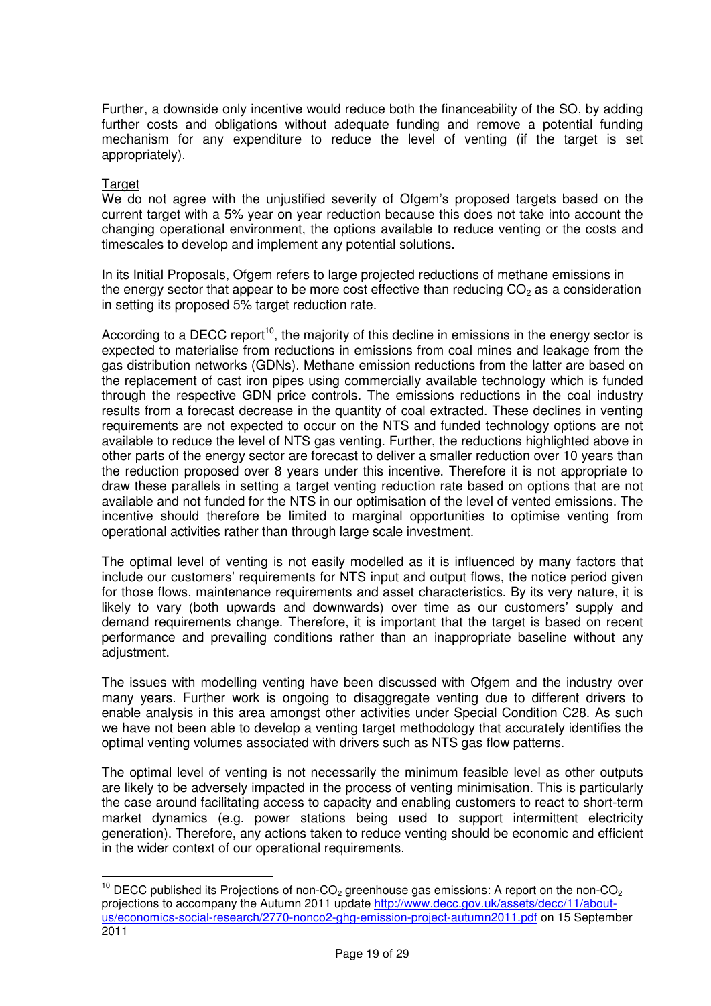Further, a downside only incentive would reduce both the financeability of the SO, by adding further costs and obligations without adequate funding and remove a potential funding mechanism for any expenditure to reduce the level of venting (if the target is set appropriately).

# Target

 $\overline{a}$ 

We do not agree with the unjustified severity of Ofgem's proposed targets based on the current target with a 5% year on year reduction because this does not take into account the changing operational environment, the options available to reduce venting or the costs and timescales to develop and implement any potential solutions.

In its Initial Proposals, Ofgem refers to large projected reductions of methane emissions in the energy sector that appear to be more cost effective than reducing  $CO<sub>2</sub>$  as a consideration in setting its proposed 5% target reduction rate.

According to a DECC report<sup>10</sup>, the majority of this decline in emissions in the energy sector is expected to materialise from reductions in emissions from coal mines and leakage from the gas distribution networks (GDNs). Methane emission reductions from the latter are based on the replacement of cast iron pipes using commercially available technology which is funded through the respective GDN price controls. The emissions reductions in the coal industry results from a forecast decrease in the quantity of coal extracted. These declines in venting requirements are not expected to occur on the NTS and funded technology options are not available to reduce the level of NTS gas venting. Further, the reductions highlighted above in other parts of the energy sector are forecast to deliver a smaller reduction over 10 years than the reduction proposed over 8 years under this incentive. Therefore it is not appropriate to draw these parallels in setting a target venting reduction rate based on options that are not available and not funded for the NTS in our optimisation of the level of vented emissions. The incentive should therefore be limited to marginal opportunities to optimise venting from operational activities rather than through large scale investment.

The optimal level of venting is not easily modelled as it is influenced by many factors that include our customers' requirements for NTS input and output flows, the notice period given for those flows, maintenance requirements and asset characteristics. By its very nature, it is likely to vary (both upwards and downwards) over time as our customers' supply and demand requirements change. Therefore, it is important that the target is based on recent performance and prevailing conditions rather than an inappropriate baseline without any adjustment.

The issues with modelling venting have been discussed with Ofgem and the industry over many years. Further work is ongoing to disaggregate venting due to different drivers to enable analysis in this area amongst other activities under Special Condition C28. As such we have not been able to develop a venting target methodology that accurately identifies the optimal venting volumes associated with drivers such as NTS gas flow patterns.

The optimal level of venting is not necessarily the minimum feasible level as other outputs are likely to be adversely impacted in the process of venting minimisation. This is particularly the case around facilitating access to capacity and enabling customers to react to short-term market dynamics (e.g. power stations being used to support intermittent electricity generation). Therefore, any actions taken to reduce venting should be economic and efficient in the wider context of our operational requirements.

<sup>&</sup>lt;sup>10</sup> DECC published its Projections of non-CO<sub>2</sub> greenhouse gas emissions: A report on the non-CO<sub>2</sub> projections to accompany the Autumn 2011 update http://www.decc.gov.uk/assets/decc/11/aboutus/economics-social-research/2770-nonco2-ghg-emission-project-autumn2011.pdf on 15 September 2011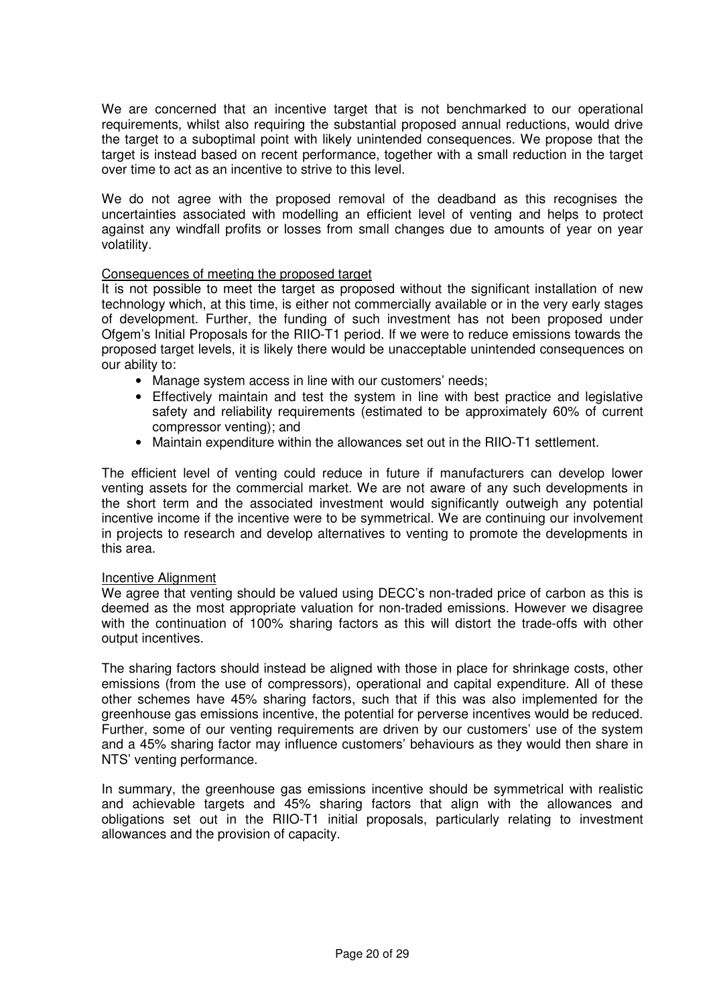We are concerned that an incentive target that is not benchmarked to our operational requirements, whilst also requiring the substantial proposed annual reductions, would drive the target to a suboptimal point with likely unintended consequences. We propose that the target is instead based on recent performance, together with a small reduction in the target over time to act as an incentive to strive to this level.

We do not agree with the proposed removal of the deadband as this recognises the uncertainties associated with modelling an efficient level of venting and helps to protect against any windfall profits or losses from small changes due to amounts of year on year volatility.

# Consequences of meeting the proposed target

It is not possible to meet the target as proposed without the significant installation of new technology which, at this time, is either not commercially available or in the very early stages of development. Further, the funding of such investment has not been proposed under Ofgem's Initial Proposals for the RIIO-T1 period. If we were to reduce emissions towards the proposed target levels, it is likely there would be unacceptable unintended consequences on our ability to:

- Manage system access in line with our customers' needs;
- Effectively maintain and test the system in line with best practice and legislative safety and reliability requirements (estimated to be approximately 60% of current compressor venting); and
- Maintain expenditure within the allowances set out in the RIIO-T1 settlement.

The efficient level of venting could reduce in future if manufacturers can develop lower venting assets for the commercial market. We are not aware of any such developments in the short term and the associated investment would significantly outweigh any potential incentive income if the incentive were to be symmetrical. We are continuing our involvement in projects to research and develop alternatives to venting to promote the developments in this area.

# Incentive Alignment

We agree that venting should be valued using DECC's non-traded price of carbon as this is deemed as the most appropriate valuation for non-traded emissions. However we disagree with the continuation of 100% sharing factors as this will distort the trade-offs with other output incentives.

The sharing factors should instead be aligned with those in place for shrinkage costs, other emissions (from the use of compressors), operational and capital expenditure. All of these other schemes have 45% sharing factors, such that if this was also implemented for the greenhouse gas emissions incentive, the potential for perverse incentives would be reduced. Further, some of our venting requirements are driven by our customers' use of the system and a 45% sharing factor may influence customers' behaviours as they would then share in NTS' venting performance.

In summary, the greenhouse gas emissions incentive should be symmetrical with realistic and achievable targets and 45% sharing factors that align with the allowances and obligations set out in the RIIO-T1 initial proposals, particularly relating to investment allowances and the provision of capacity.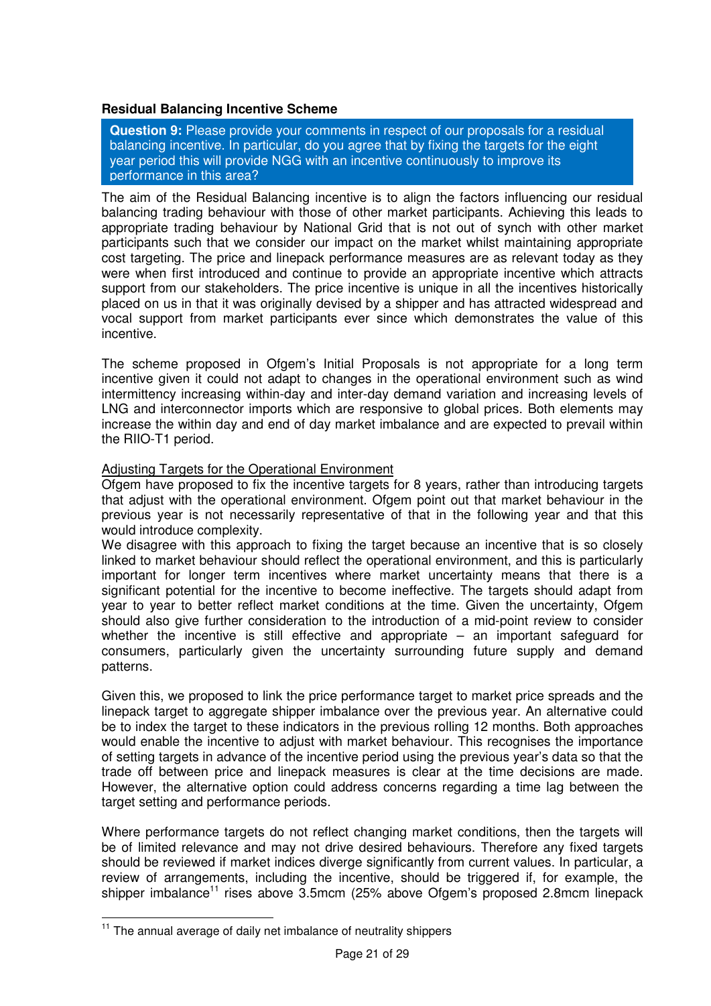# **Residual Balancing Incentive Scheme**

**Question 9:** Please provide your comments in respect of our proposals for a residual balancing incentive. In particular, do you agree that by fixing the targets for the eight year period this will provide NGG with an incentive continuously to improve its performance in this area?

The aim of the Residual Balancing incentive is to align the factors influencing our residual balancing trading behaviour with those of other market participants. Achieving this leads to appropriate trading behaviour by National Grid that is not out of synch with other market participants such that we consider our impact on the market whilst maintaining appropriate cost targeting. The price and linepack performance measures are as relevant today as they were when first introduced and continue to provide an appropriate incentive which attracts support from our stakeholders. The price incentive is unique in all the incentives historically placed on us in that it was originally devised by a shipper and has attracted widespread and vocal support from market participants ever since which demonstrates the value of this incentive.

The scheme proposed in Ofgem's Initial Proposals is not appropriate for a long term incentive given it could not adapt to changes in the operational environment such as wind intermittency increasing within-day and inter-day demand variation and increasing levels of LNG and interconnector imports which are responsive to global prices. Both elements may increase the within day and end of day market imbalance and are expected to prevail within the RIIO-T1 period.

### Adjusting Targets for the Operational Environment

Ofgem have proposed to fix the incentive targets for 8 years, rather than introducing targets that adjust with the operational environment. Ofgem point out that market behaviour in the previous year is not necessarily representative of that in the following year and that this would introduce complexity.

We disagree with this approach to fixing the target because an incentive that is so closely linked to market behaviour should reflect the operational environment, and this is particularly important for longer term incentives where market uncertainty means that there is a significant potential for the incentive to become ineffective. The targets should adapt from year to year to better reflect market conditions at the time. Given the uncertainty, Ofgem should also give further consideration to the introduction of a mid-point review to consider whether the incentive is still effective and appropriate – an important safeguard for consumers, particularly given the uncertainty surrounding future supply and demand patterns.

Given this, we proposed to link the price performance target to market price spreads and the linepack target to aggregate shipper imbalance over the previous year. An alternative could be to index the target to these indicators in the previous rolling 12 months. Both approaches would enable the incentive to adjust with market behaviour. This recognises the importance of setting targets in advance of the incentive period using the previous year's data so that the trade off between price and linepack measures is clear at the time decisions are made. However, the alternative option could address concerns regarding a time lag between the target setting and performance periods.

Where performance targets do not reflect changing market conditions, then the targets will be of limited relevance and may not drive desired behaviours. Therefore any fixed targets should be reviewed if market indices diverge significantly from current values. In particular, a review of arrangements, including the incentive, should be triggered if, for example, the shipper imbalance<sup>11</sup> rises above 3.5mcm (25% above Ofgem's proposed 2.8mcm linepack

 $\overline{a}$ 

 $11$  The annual average of daily net imbalance of neutrality shippers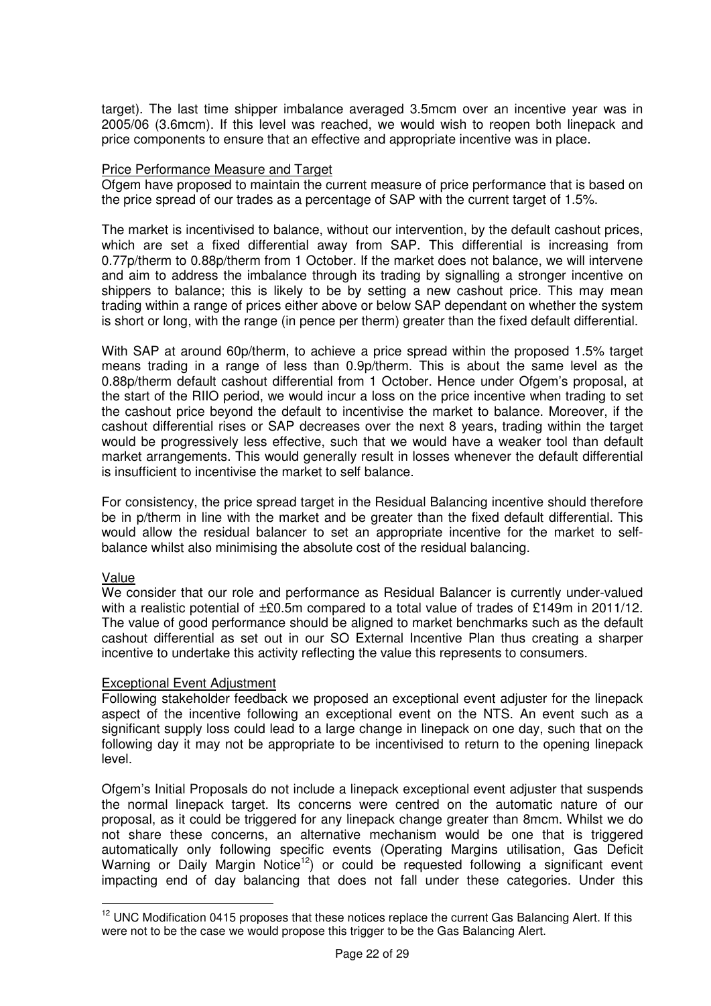target). The last time shipper imbalance averaged 3.5mcm over an incentive year was in 2005/06 (3.6mcm). If this level was reached, we would wish to reopen both linepack and price components to ensure that an effective and appropriate incentive was in place.

### Price Performance Measure and Target

Ofgem have proposed to maintain the current measure of price performance that is based on the price spread of our trades as a percentage of SAP with the current target of 1.5%.

The market is incentivised to balance, without our intervention, by the default cashout prices, which are set a fixed differential away from SAP. This differential is increasing from 0.77p/therm to 0.88p/therm from 1 October. If the market does not balance, we will intervene and aim to address the imbalance through its trading by signalling a stronger incentive on shippers to balance; this is likely to be by setting a new cashout price. This may mean trading within a range of prices either above or below SAP dependant on whether the system is short or long, with the range (in pence per therm) greater than the fixed default differential.

With SAP at around 60p/therm, to achieve a price spread within the proposed 1.5% target means trading in a range of less than 0.9p/therm. This is about the same level as the 0.88p/therm default cashout differential from 1 October. Hence under Ofgem's proposal, at the start of the RIIO period, we would incur a loss on the price incentive when trading to set the cashout price beyond the default to incentivise the market to balance. Moreover, if the cashout differential rises or SAP decreases over the next 8 years, trading within the target would be progressively less effective, such that we would have a weaker tool than default market arrangements. This would generally result in losses whenever the default differential is insufficient to incentivise the market to self balance.

For consistency, the price spread target in the Residual Balancing incentive should therefore be in p/therm in line with the market and be greater than the fixed default differential. This would allow the residual balancer to set an appropriate incentive for the market to selfbalance whilst also minimising the absolute cost of the residual balancing.

#### Value

 $\overline{a}$ 

We consider that our role and performance as Residual Balancer is currently under-valued with a realistic potential of  $\pm \mathcal{E}0.5$ m compared to a total value of trades of £149m in 2011/12. The value of good performance should be aligned to market benchmarks such as the default cashout differential as set out in our SO External Incentive Plan thus creating a sharper incentive to undertake this activity reflecting the value this represents to consumers.

#### Exceptional Event Adjustment

Following stakeholder feedback we proposed an exceptional event adjuster for the linepack aspect of the incentive following an exceptional event on the NTS. An event such as a significant supply loss could lead to a large change in linepack on one day, such that on the following day it may not be appropriate to be incentivised to return to the opening linepack level.

Ofgem's Initial Proposals do not include a linepack exceptional event adjuster that suspends the normal linepack target. Its concerns were centred on the automatic nature of our proposal, as it could be triggered for any linepack change greater than 8mcm. Whilst we do not share these concerns, an alternative mechanism would be one that is triggered automatically only following specific events (Operating Margins utilisation, Gas Deficit Warning or Daily Margin Notice<sup>12</sup>) or could be requested following a significant event impacting end of day balancing that does not fall under these categories. Under this

 $12$  UNC Modification 0415 proposes that these notices replace the current Gas Balancing Alert. If this were not to be the case we would propose this trigger to be the Gas Balancing Alert.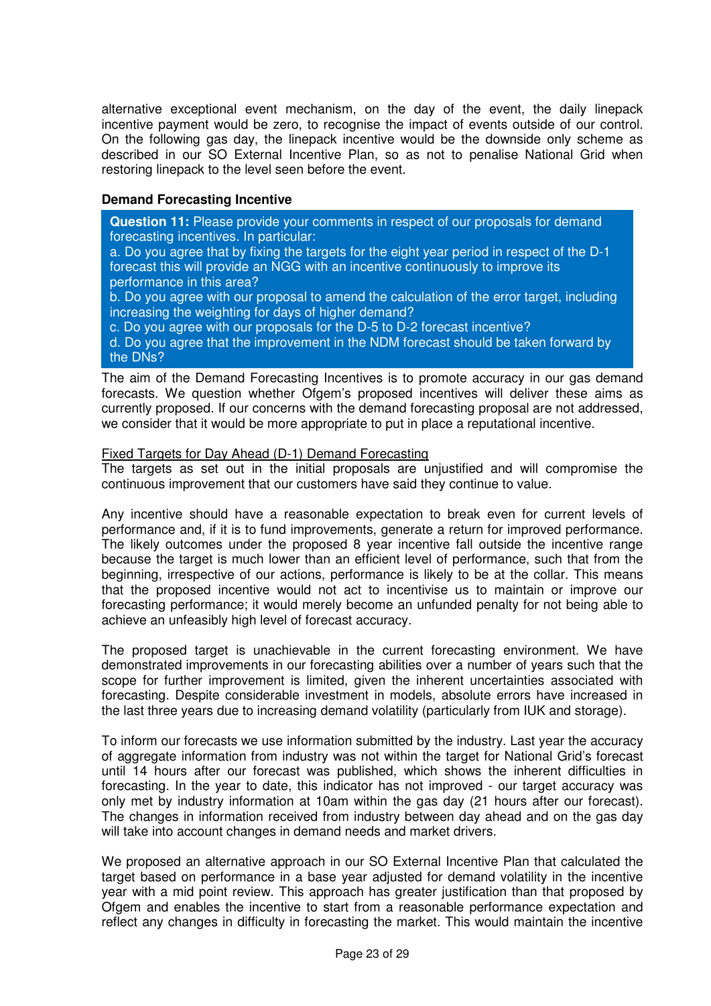alternative exceptional event mechanism, on the day of the event, the daily linepack incentive payment would be zero, to recognise the impact of events outside of our control. On the following gas day, the linepack incentive would be the downside only scheme as described in our SO External Incentive Plan, so as not to penalise National Grid when restoring linepack to the level seen before the event.

# **Demand Forecasting Incentive**

**Question 11:** Please provide your comments in respect of our proposals for demand forecasting incentives. In particular:

a. Do you agree that by fixing the targets for the eight year period in respect of the D-1 forecast this will provide an NGG with an incentive continuously to improve its performance in this area?

b. Do you agree with our proposal to amend the calculation of the error target, including increasing the weighting for days of higher demand?

c. Do you agree with our proposals for the D-5 to D-2 forecast incentive?

d. Do you agree that the improvement in the NDM forecast should be taken forward by the DNs?

The aim of the Demand Forecasting Incentives is to promote accuracy in our gas demand forecasts. We question whether Ofgem's proposed incentives will deliver these aims as currently proposed. If our concerns with the demand forecasting proposal are not addressed, we consider that it would be more appropriate to put in place a reputational incentive.

## Fixed Targets for Day Ahead (D-1) Demand Forecasting

The targets as set out in the initial proposals are unjustified and will compromise the continuous improvement that our customers have said they continue to value.

Any incentive should have a reasonable expectation to break even for current levels of performance and, if it is to fund improvements, generate a return for improved performance. The likely outcomes under the proposed 8 year incentive fall outside the incentive range because the target is much lower than an efficient level of performance, such that from the beginning, irrespective of our actions, performance is likely to be at the collar. This means that the proposed incentive would not act to incentivise us to maintain or improve our forecasting performance; it would merely become an unfunded penalty for not being able to achieve an unfeasibly high level of forecast accuracy.

The proposed target is unachievable in the current forecasting environment. We have demonstrated improvements in our forecasting abilities over a number of years such that the scope for further improvement is limited, given the inherent uncertainties associated with forecasting. Despite considerable investment in models, absolute errors have increased in the last three years due to increasing demand volatility (particularly from IUK and storage).

To inform our forecasts we use information submitted by the industry. Last year the accuracy of aggregate information from industry was not within the target for National Grid's forecast until 14 hours after our forecast was published, which shows the inherent difficulties in forecasting. In the year to date, this indicator has not improved - our target accuracy was only met by industry information at 10am within the gas day (21 hours after our forecast). The changes in information received from industry between day ahead and on the gas day will take into account changes in demand needs and market drivers.

We proposed an alternative approach in our SO External Incentive Plan that calculated the target based on performance in a base year adjusted for demand volatility in the incentive year with a mid point review. This approach has greater justification than that proposed by Ofgem and enables the incentive to start from a reasonable performance expectation and reflect any changes in difficulty in forecasting the market. This would maintain the incentive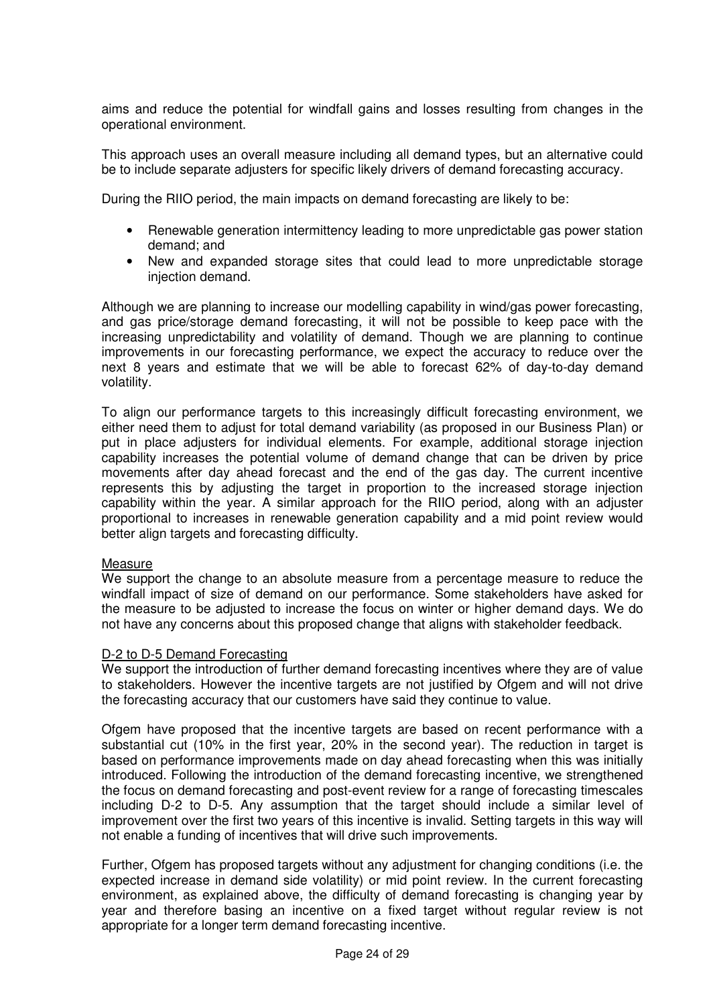aims and reduce the potential for windfall gains and losses resulting from changes in the operational environment.

This approach uses an overall measure including all demand types, but an alternative could be to include separate adjusters for specific likely drivers of demand forecasting accuracy.

During the RIIO period, the main impacts on demand forecasting are likely to be:

- Renewable generation intermittency leading to more unpredictable gas power station demand; and
- New and expanded storage sites that could lead to more unpredictable storage injection demand.

Although we are planning to increase our modelling capability in wind/gas power forecasting, and gas price/storage demand forecasting, it will not be possible to keep pace with the increasing unpredictability and volatility of demand. Though we are planning to continue improvements in our forecasting performance, we expect the accuracy to reduce over the next 8 years and estimate that we will be able to forecast 62% of day-to-day demand volatility.

To align our performance targets to this increasingly difficult forecasting environment, we either need them to adjust for total demand variability (as proposed in our Business Plan) or put in place adjusters for individual elements. For example, additional storage injection capability increases the potential volume of demand change that can be driven by price movements after day ahead forecast and the end of the gas day. The current incentive represents this by adjusting the target in proportion to the increased storage injection capability within the year. A similar approach for the RIIO period, along with an adjuster proportional to increases in renewable generation capability and a mid point review would better align targets and forecasting difficulty.

#### **Measure**

We support the change to an absolute measure from a percentage measure to reduce the windfall impact of size of demand on our performance. Some stakeholders have asked for the measure to be adjusted to increase the focus on winter or higher demand days. We do not have any concerns about this proposed change that aligns with stakeholder feedback.

#### D-2 to D-5 Demand Forecasting

We support the introduction of further demand forecasting incentives where they are of value to stakeholders. However the incentive targets are not justified by Ofgem and will not drive the forecasting accuracy that our customers have said they continue to value.

Ofgem have proposed that the incentive targets are based on recent performance with a substantial cut (10% in the first year, 20% in the second year). The reduction in target is based on performance improvements made on day ahead forecasting when this was initially introduced. Following the introduction of the demand forecasting incentive, we strengthened the focus on demand forecasting and post-event review for a range of forecasting timescales including D-2 to D-5. Any assumption that the target should include a similar level of improvement over the first two years of this incentive is invalid. Setting targets in this way will not enable a funding of incentives that will drive such improvements.

Further, Ofgem has proposed targets without any adjustment for changing conditions (i.e. the expected increase in demand side volatility) or mid point review. In the current forecasting environment, as explained above, the difficulty of demand forecasting is changing year by year and therefore basing an incentive on a fixed target without regular review is not appropriate for a longer term demand forecasting incentive.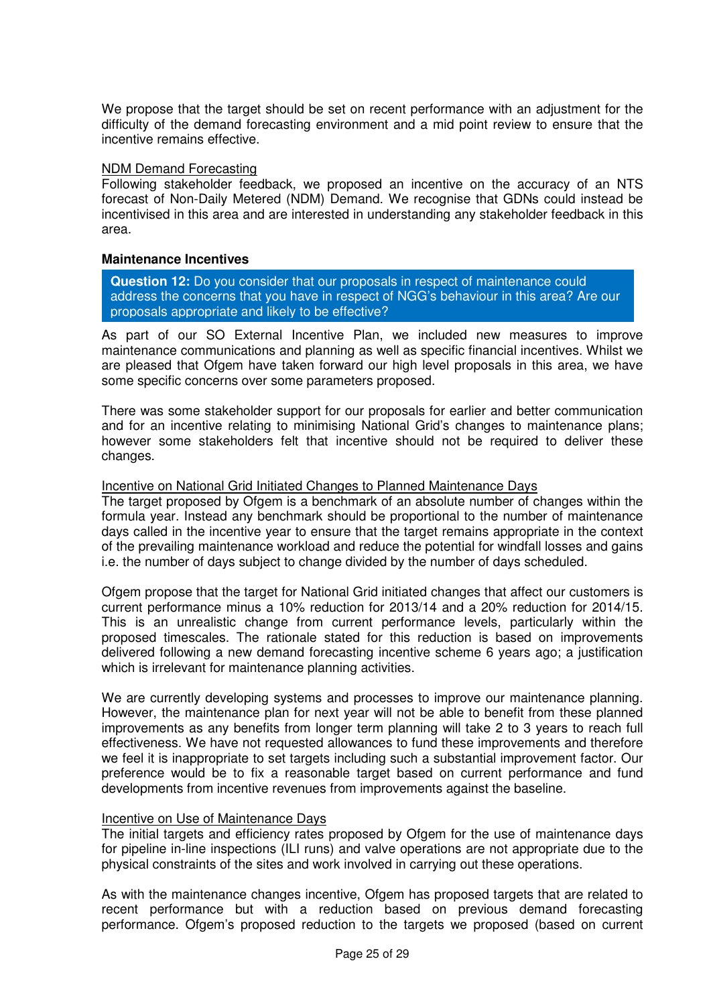We propose that the target should be set on recent performance with an adjustment for the difficulty of the demand forecasting environment and a mid point review to ensure that the incentive remains effective.

### NDM Demand Forecasting

Following stakeholder feedback, we proposed an incentive on the accuracy of an NTS forecast of Non-Daily Metered (NDM) Demand. We recognise that GDNs could instead be incentivised in this area and are interested in understanding any stakeholder feedback in this area.

### **Maintenance Incentives**

**Question 12:** Do you consider that our proposals in respect of maintenance could address the concerns that you have in respect of NGG's behaviour in this area? Are our proposals appropriate and likely to be effective?

As part of our SO External Incentive Plan, we included new measures to improve maintenance communications and planning as well as specific financial incentives. Whilst we are pleased that Ofgem have taken forward our high level proposals in this area, we have some specific concerns over some parameters proposed.

There was some stakeholder support for our proposals for earlier and better communication and for an incentive relating to minimising National Grid's changes to maintenance plans; however some stakeholders felt that incentive should not be required to deliver these changes.

### Incentive on National Grid Initiated Changes to Planned Maintenance Days

The target proposed by Ofgem is a benchmark of an absolute number of changes within the formula year. Instead any benchmark should be proportional to the number of maintenance days called in the incentive year to ensure that the target remains appropriate in the context of the prevailing maintenance workload and reduce the potential for windfall losses and gains i.e. the number of days subject to change divided by the number of days scheduled.

Ofgem propose that the target for National Grid initiated changes that affect our customers is current performance minus a 10% reduction for 2013/14 and a 20% reduction for 2014/15. This is an unrealistic change from current performance levels, particularly within the proposed timescales. The rationale stated for this reduction is based on improvements delivered following a new demand forecasting incentive scheme 6 years ago; a justification which is irrelevant for maintenance planning activities.

We are currently developing systems and processes to improve our maintenance planning. However, the maintenance plan for next year will not be able to benefit from these planned improvements as any benefits from longer term planning will take 2 to 3 years to reach full effectiveness. We have not requested allowances to fund these improvements and therefore we feel it is inappropriate to set targets including such a substantial improvement factor. Our preference would be to fix a reasonable target based on current performance and fund developments from incentive revenues from improvements against the baseline.

### Incentive on Use of Maintenance Days

The initial targets and efficiency rates proposed by Ofgem for the use of maintenance days for pipeline in-line inspections (ILI runs) and valve operations are not appropriate due to the physical constraints of the sites and work involved in carrying out these operations.

As with the maintenance changes incentive, Ofgem has proposed targets that are related to recent performance but with a reduction based on previous demand forecasting performance. Ofgem's proposed reduction to the targets we proposed (based on current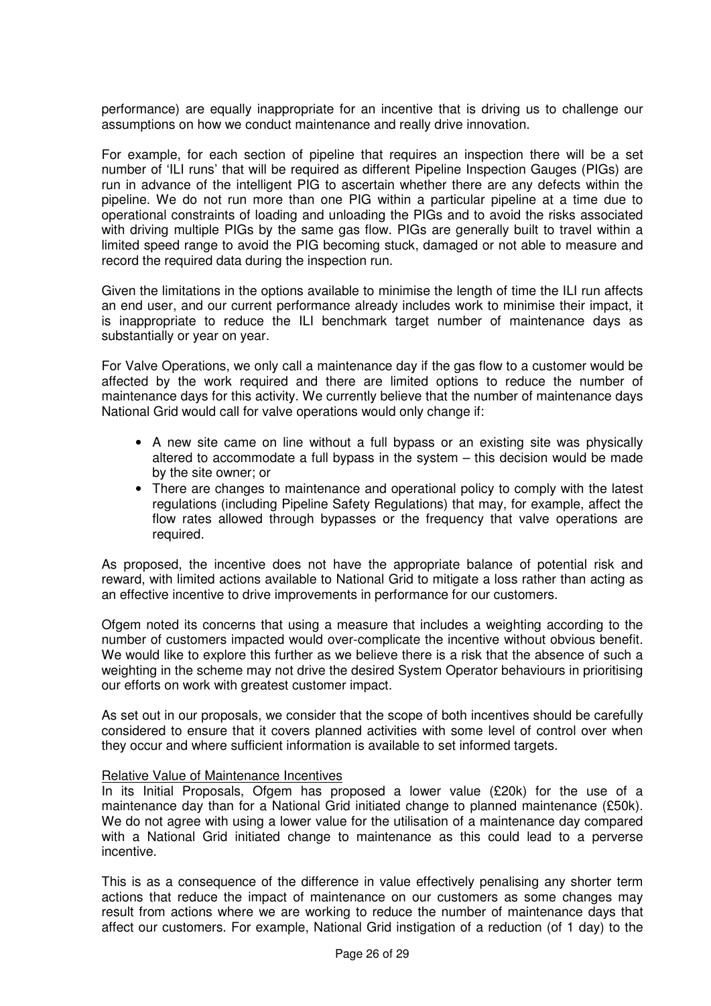performance) are equally inappropriate for an incentive that is driving us to challenge our assumptions on how we conduct maintenance and really drive innovation.

For example, for each section of pipeline that requires an inspection there will be a set number of 'ILI runs' that will be required as different Pipeline Inspection Gauges (PIGs) are run in advance of the intelligent PIG to ascertain whether there are any defects within the pipeline. We do not run more than one PIG within a particular pipeline at a time due to operational constraints of loading and unloading the PIGs and to avoid the risks associated with driving multiple PIGs by the same gas flow. PIGs are generally built to travel within a limited speed range to avoid the PIG becoming stuck, damaged or not able to measure and record the required data during the inspection run.

Given the limitations in the options available to minimise the length of time the ILI run affects an end user, and our current performance already includes work to minimise their impact, it is inappropriate to reduce the ILI benchmark target number of maintenance days as substantially or year on year.

For Valve Operations, we only call a maintenance day if the gas flow to a customer would be affected by the work required and there are limited options to reduce the number of maintenance days for this activity. We currently believe that the number of maintenance days National Grid would call for valve operations would only change if:

- A new site came on line without a full bypass or an existing site was physically altered to accommodate a full bypass in the system – this decision would be made by the site owner; or
- There are changes to maintenance and operational policy to comply with the latest regulations (including Pipeline Safety Regulations) that may, for example, affect the flow rates allowed through bypasses or the frequency that valve operations are required.

As proposed, the incentive does not have the appropriate balance of potential risk and reward, with limited actions available to National Grid to mitigate a loss rather than acting as an effective incentive to drive improvements in performance for our customers.

Ofgem noted its concerns that using a measure that includes a weighting according to the number of customers impacted would over-complicate the incentive without obvious benefit. We would like to explore this further as we believe there is a risk that the absence of such a weighting in the scheme may not drive the desired System Operator behaviours in prioritising our efforts on work with greatest customer impact.

As set out in our proposals, we consider that the scope of both incentives should be carefully considered to ensure that it covers planned activities with some level of control over when they occur and where sufficient information is available to set informed targets.

#### Relative Value of Maintenance Incentives

In its Initial Proposals, Ofgem has proposed a lower value (£20k) for the use of a maintenance day than for a National Grid initiated change to planned maintenance (£50k). We do not agree with using a lower value for the utilisation of a maintenance day compared with a National Grid initiated change to maintenance as this could lead to a perverse incentive.

This is as a consequence of the difference in value effectively penalising any shorter term actions that reduce the impact of maintenance on our customers as some changes may result from actions where we are working to reduce the number of maintenance days that affect our customers. For example, National Grid instigation of a reduction (of 1 day) to the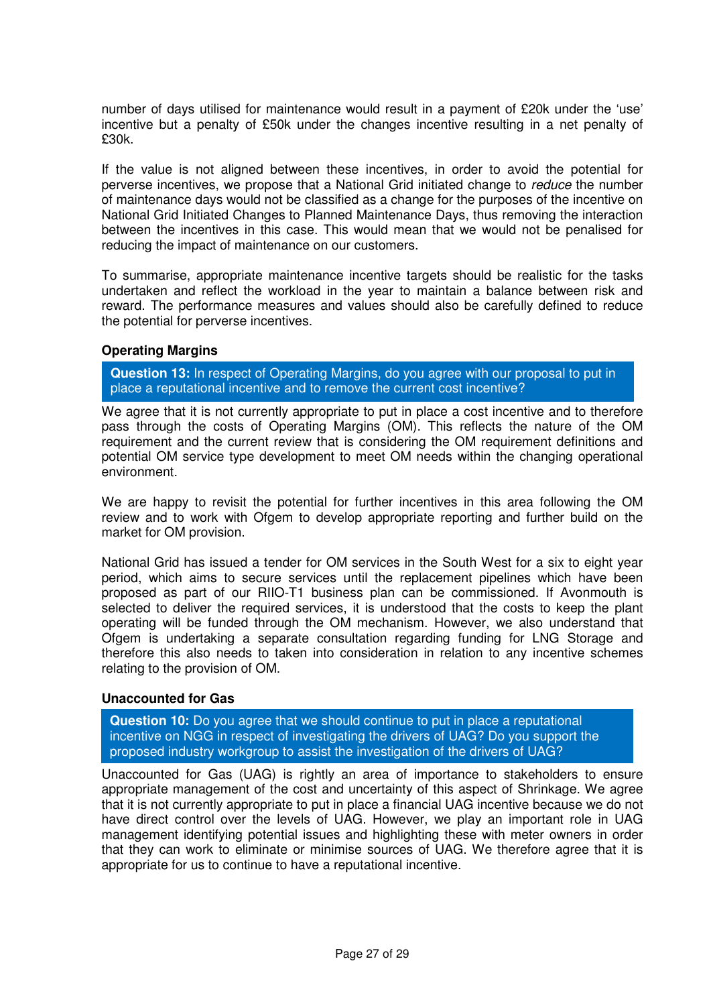number of days utilised for maintenance would result in a payment of £20k under the 'use' incentive but a penalty of £50k under the changes incentive resulting in a net penalty of £30k.

If the value is not aligned between these incentives, in order to avoid the potential for perverse incentives, we propose that a National Grid initiated change to reduce the number of maintenance days would not be classified as a change for the purposes of the incentive on National Grid Initiated Changes to Planned Maintenance Days, thus removing the interaction between the incentives in this case. This would mean that we would not be penalised for reducing the impact of maintenance on our customers.

To summarise, appropriate maintenance incentive targets should be realistic for the tasks undertaken and reflect the workload in the year to maintain a balance between risk and reward. The performance measures and values should also be carefully defined to reduce the potential for perverse incentives.

### **Operating Margins**

**Question 13:** In respect of Operating Margins, do you agree with our proposal to put in place a reputational incentive and to remove the current cost incentive?

 We agree that it is not currently appropriate to put in place a cost incentive and to therefore pass through the costs of Operating Margins (OM). This reflects the nature of the OM requirement and the current review that is considering the OM requirement definitions and potential OM service type development to meet OM needs within the changing operational environment.

We are happy to revisit the potential for further incentives in this area following the OM review and to work with Ofgem to develop appropriate reporting and further build on the market for OM provision.

National Grid has issued a tender for OM services in the South West for a six to eight year period, which aims to secure services until the replacement pipelines which have been proposed as part of our RIIO-T1 business plan can be commissioned. If Avonmouth is selected to deliver the required services, it is understood that the costs to keep the plant operating will be funded through the OM mechanism. However, we also understand that Ofgem is undertaking a separate consultation regarding funding for LNG Storage and therefore this also needs to taken into consideration in relation to any incentive schemes relating to the provision of OM.

### **Unaccounted for Gas**

**Question 10:** Do you agree that we should continue to put in place a reputational incentive on NGG in respect of investigating the drivers of UAG? Do you support the proposed industry workgroup to assist the investigation of the drivers of UAG?

Unaccounted for Gas (UAG) is rightly an area of importance to stakeholders to ensure appropriate management of the cost and uncertainty of this aspect of Shrinkage. We agree that it is not currently appropriate to put in place a financial UAG incentive because we do not have direct control over the levels of UAG. However, we play an important role in UAG management identifying potential issues and highlighting these with meter owners in order that they can work to eliminate or minimise sources of UAG. We therefore agree that it is appropriate for us to continue to have a reputational incentive.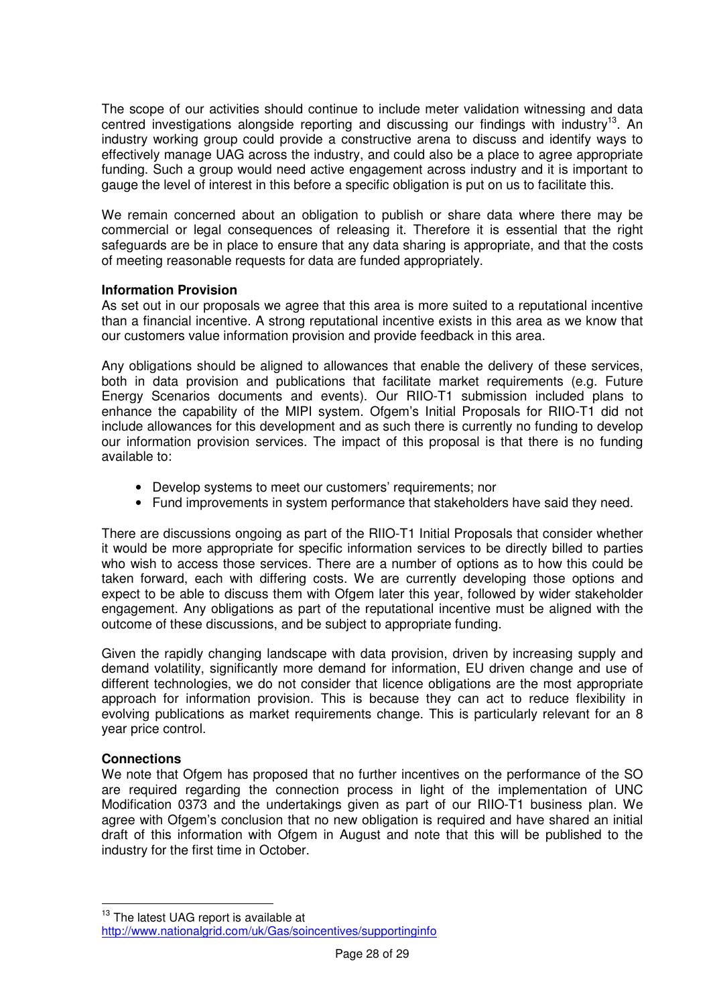The scope of our activities should continue to include meter validation witnessing and data centred investigations alongside reporting and discussing our findings with industry<sup>13</sup>. An industry working group could provide a constructive arena to discuss and identify ways to effectively manage UAG across the industry, and could also be a place to agree appropriate funding. Such a group would need active engagement across industry and it is important to gauge the level of interest in this before a specific obligation is put on us to facilitate this.

We remain concerned about an obligation to publish or share data where there may be commercial or legal consequences of releasing it. Therefore it is essential that the right safeguards are be in place to ensure that any data sharing is appropriate, and that the costs of meeting reasonable requests for data are funded appropriately.

# **Information Provision**

As set out in our proposals we agree that this area is more suited to a reputational incentive than a financial incentive. A strong reputational incentive exists in this area as we know that our customers value information provision and provide feedback in this area.

Any obligations should be aligned to allowances that enable the delivery of these services, both in data provision and publications that facilitate market requirements (e.g. Future Energy Scenarios documents and events). Our RIIO-T1 submission included plans to enhance the capability of the MIPI system. Ofgem's Initial Proposals for RIIO-T1 did not include allowances for this development and as such there is currently no funding to develop our information provision services. The impact of this proposal is that there is no funding available to:

- Develop systems to meet our customers' requirements; nor
- Fund improvements in system performance that stakeholders have said they need.

There are discussions ongoing as part of the RIIO-T1 Initial Proposals that consider whether it would be more appropriate for specific information services to be directly billed to parties who wish to access those services. There are a number of options as to how this could be taken forward, each with differing costs. We are currently developing those options and expect to be able to discuss them with Ofgem later this year, followed by wider stakeholder engagement. Any obligations as part of the reputational incentive must be aligned with the outcome of these discussions, and be subject to appropriate funding.

Given the rapidly changing landscape with data provision, driven by increasing supply and demand volatility, significantly more demand for information, EU driven change and use of different technologies, we do not consider that licence obligations are the most appropriate approach for information provision. This is because they can act to reduce flexibility in evolving publications as market requirements change. This is particularly relevant for an 8 year price control.

# **Connections**

 $\overline{a}$ 

We note that Ofgem has proposed that no further incentives on the performance of the SO are required regarding the connection process in light of the implementation of UNC Modification 0373 and the undertakings given as part of our RIIO-T1 business plan. We agree with Ofgem's conclusion that no new obligation is required and have shared an initial draft of this information with Ofgem in August and note that this will be published to the industry for the first time in October.

<sup>&</sup>lt;sup>13</sup> The latest UAG report is available at http://www.nationalgrid.com/uk/Gas/soincentives/supportinginfo